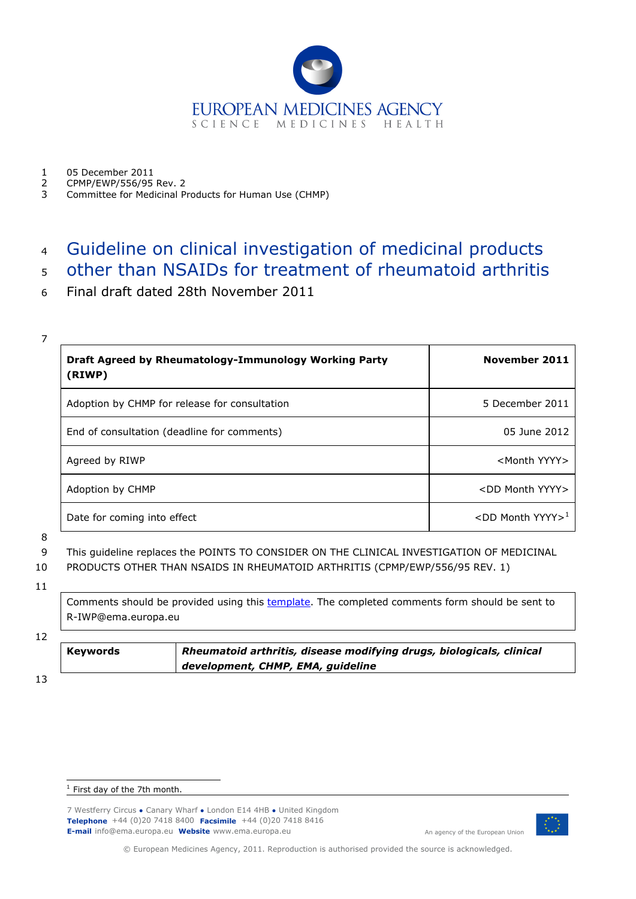

- 1 05 December 2011<br>2 CPMP/FWP/556/95
- 2 CPMP/EWP/556/95 Rev. 2
- 3 Committee for Medicinal Products for Human Use (CHMP)

# <sup>4</sup> Guideline on clinical investigation of medicinal products

- <sup>5</sup> other than NSAIDs for treatment of rheumatoid arthritis
- 6 Final draft dated 28th November 2011

| <b>Draft Agreed by Rheumatology-Immunology Working Party</b><br>(RIWP) | November 2011                   |
|------------------------------------------------------------------------|---------------------------------|
| Adoption by CHMP for release for consultation                          | 5 December 2011                 |
| End of consultation (deadline for comments)                            | 05 June 2012                    |
| Agreed by RIWP                                                         | <month yyyy=""></month>         |
| Adoption by CHMP                                                       | <dd month="" yyyy=""></dd>      |
| Date for coming into effect                                            | $<$ DD Month YYYY> <sup>1</sup> |

8

9 This guideline replaces the POINTS TO CONSIDER ON THE CLINICAL INVESTIGATION OF MEDICINAL

- 10 PRODUCTS OTHER THAN NSAIDS IN RHEUMATOID ARTHRITIS (CPMP/EWP/556/95 REV. 1)
- 11

Comments should be provided using this [template.](http://www.ema.europa.eu/docs/en_GB/document_library/Template_or_form/2009/10/WC500004016.doc) The completed comments form should be sent to R-IWP@ema.europa.eu

12

| Keywords | Rheumatoid arthritis, disease modifying drugs, biologicals, clinical |
|----------|----------------------------------------------------------------------|
|          | development, CHMP, EMA, guideline                                    |

13

7 Westferry Circus **●** Canary Wharf **●** London E14 4HB **●** United Kingdom **Telephone** +44 (0)20 7418 8400 **Facsimile** +44 (0)20 7418 8416 **E-mail** info@ema.europa.eu **Website** www.ema.europa.eu An agency of the European Union



© European Medicines Agency, 2011. Reproduction is authorised provided the source is acknowledged.

<span id="page-0-0"></span>ł  $<sup>1</sup>$  First day of the 7th month.</sup>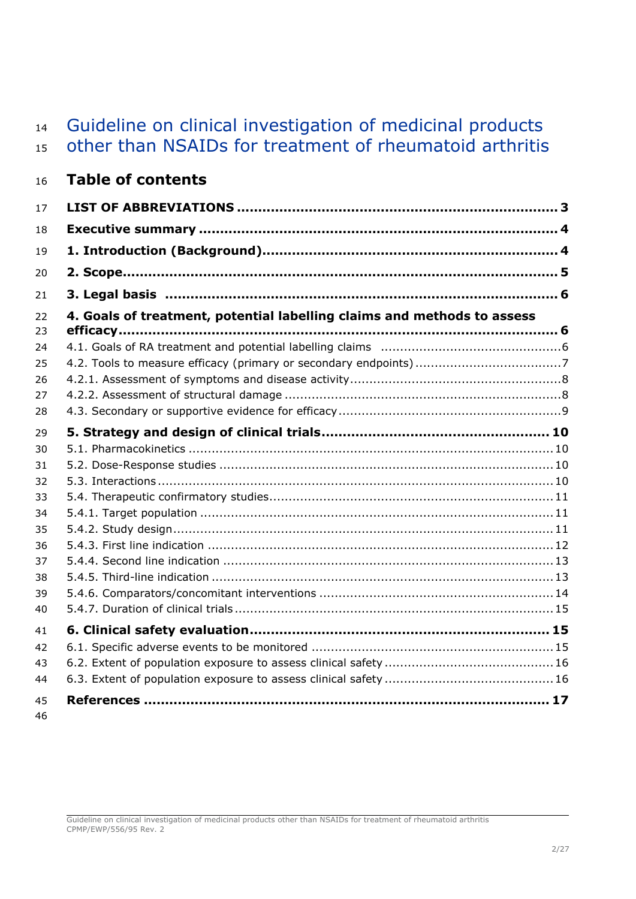# Guideline on clinical investigation of medicinal products other than NSAIDs for treatment of rheumatoid arthritis

| 16 |  | <b>Table of contents</b> |
|----|--|--------------------------|
|    |  |                          |

| 17       |                                                                         |  |
|----------|-------------------------------------------------------------------------|--|
| 18       |                                                                         |  |
| 19       |                                                                         |  |
| 20       |                                                                         |  |
| 21       |                                                                         |  |
| 22<br>23 | 4. Goals of treatment, potential labelling claims and methods to assess |  |
| 24       |                                                                         |  |
| 25       |                                                                         |  |
| 26       |                                                                         |  |
| 27       |                                                                         |  |
| 28       |                                                                         |  |
| 29       |                                                                         |  |
| 30       |                                                                         |  |
| 31       |                                                                         |  |
| 32       |                                                                         |  |
| 33       |                                                                         |  |
| 34       |                                                                         |  |
| 35       |                                                                         |  |
| 36       |                                                                         |  |
| 37       |                                                                         |  |
| 38       |                                                                         |  |
| 39       |                                                                         |  |
| 40       |                                                                         |  |
| 41       |                                                                         |  |
| 42       |                                                                         |  |
| 43       |                                                                         |  |
| 44       |                                                                         |  |
| 45<br>46 |                                                                         |  |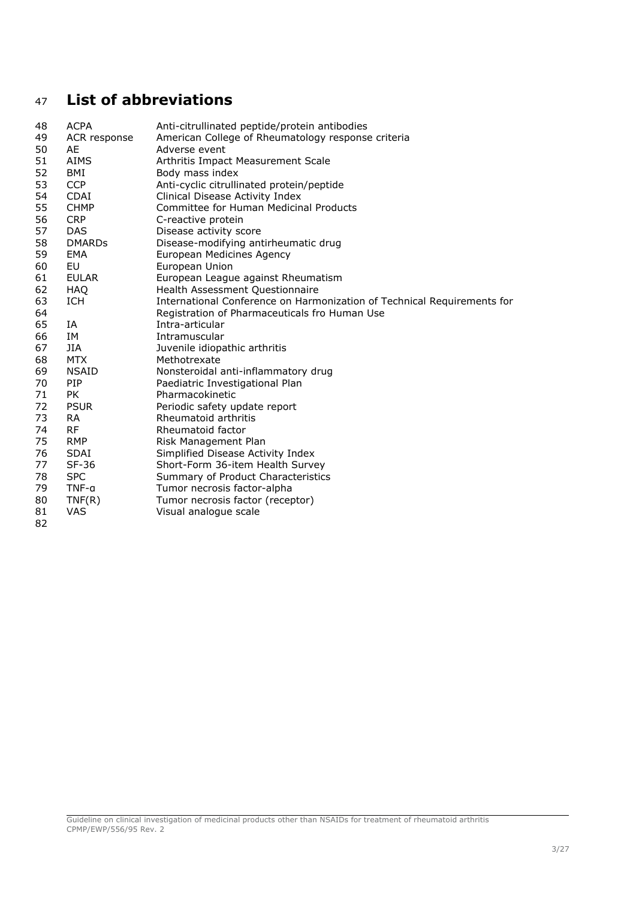# <span id="page-2-0"></span>**List of abbreviations**

| 48 | <b>ACPA</b>   | Anti-citrullinated peptide/protein antibodies                           |
|----|---------------|-------------------------------------------------------------------------|
| 49 | ACR response  | American College of Rheumatology response criteria                      |
| 50 | AE            | Adverse event                                                           |
| 51 | <b>AIMS</b>   | Arthritis Impact Measurement Scale                                      |
| 52 | BMI           | Body mass index                                                         |
| 53 | <b>CCP</b>    | Anti-cyclic citrullinated protein/peptide                               |
| 54 | <b>CDAI</b>   | Clinical Disease Activity Index                                         |
| 55 | <b>CHMP</b>   | Committee for Human Medicinal Products                                  |
| 56 | <b>CRP</b>    | C-reactive protein                                                      |
| 57 | <b>DAS</b>    | Disease activity score                                                  |
| 58 | <b>DMARDS</b> | Disease-modifying antirheumatic drug                                    |
| 59 | <b>EMA</b>    | European Medicines Agency                                               |
| 60 | EU            | European Union                                                          |
| 61 | EULAR         | European League against Rheumatism                                      |
| 62 | HAQ           | Health Assessment Questionnaire                                         |
| 63 | ICH           | International Conference on Harmonization of Technical Requirements for |
| 64 |               | Registration of Pharmaceuticals fro Human Use                           |
| 65 | IA            | Intra-articular                                                         |
| 66 | IΜ            | Intramuscular                                                           |
| 67 | JIA           | Juvenile idiopathic arthritis                                           |
| 68 | <b>MTX</b>    | Methotrexate                                                            |
| 69 | <b>NSAID</b>  | Nonsteroidal anti-inflammatory drug                                     |
| 70 | <b>PIP</b>    | Paediatric Investigational Plan                                         |
| 71 | <b>PK</b>     | Pharmacokinetic                                                         |
| 72 | <b>PSUR</b>   | Periodic safety update report                                           |
| 73 | <b>RA</b>     | Rheumatoid arthritis                                                    |
| 74 | <b>RF</b>     | Rheumatoid factor                                                       |
| 75 | <b>RMP</b>    | Risk Management Plan                                                    |
| 76 | <b>SDAI</b>   | Simplified Disease Activity Index                                       |
| 77 | SF-36         | Short-Form 36-item Health Survey                                        |
| 78 | <b>SPC</b>    | Summary of Product Characteristics                                      |
| 79 | TNF-a         | Tumor necrosis factor-alpha                                             |
| 80 | TNF(R)        | Tumor necrosis factor (receptor)                                        |
| 81 | <b>VAS</b>    | Visual analogue scale                                                   |
| 82 |               |                                                                         |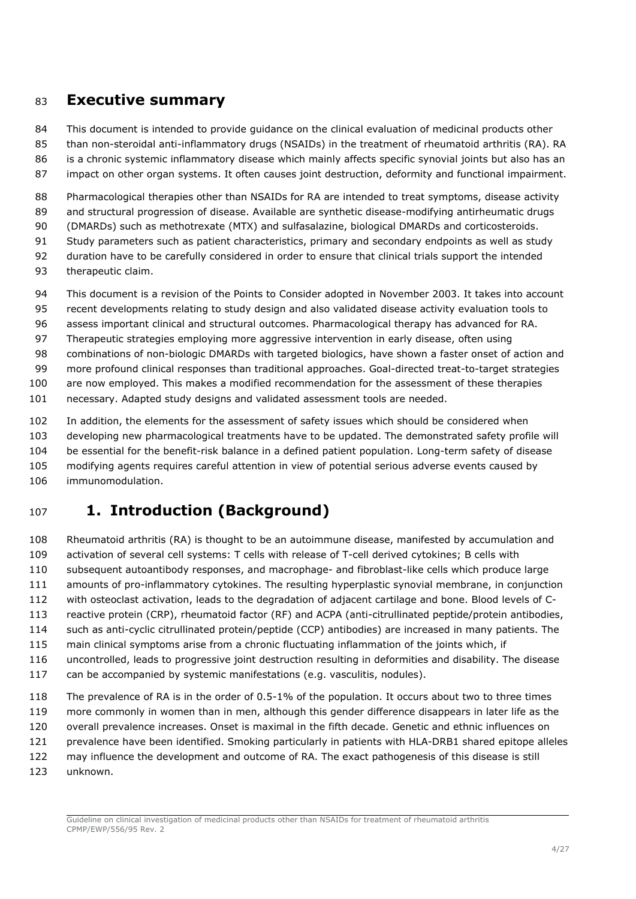## <span id="page-3-0"></span>**Executive summary**

This document is intended to provide guidance on the clinical evaluation of medicinal products other

than non-steroidal anti-inflammatory drugs (NSAIDs) in the treatment of rheumatoid arthritis (RA). RA

is a chronic systemic inflammatory disease which mainly affects specific synovial joints but also has an

impact on other organ systems. It often causes joint destruction, deformity and functional impairment.

88 Pharmacological therapies other than NSAIDs for RA are intended to treat symptoms, disease activity and structural progression of disease. Available are synthetic disease-modifying antirheumatic drugs

(DMARDs) such as methotrexate (MTX) and sulfasalazine, biological DMARDs and corticosteroids.

Study parameters such as patient characteristics, primary and secondary endpoints as well as study

duration have to be carefully considered in order to ensure that clinical trials support the intended

therapeutic claim.

This document is a revision of the Points to Consider adopted in November 2003. It takes into account

recent developments relating to study design and also validated disease activity evaluation tools to

assess important clinical and structural outcomes. Pharmacological therapy has advanced for RA.

Therapeutic strategies employing more aggressive intervention in early disease, often using

combinations of non-biologic DMARDs with targeted biologics, have shown a faster onset of action and

more profound clinical responses than traditional approaches. Goal-directed treat-to-target strategies

are now employed. This makes a modified recommendation for the assessment of these therapies

necessary. Adapted study designs and validated assessment tools are needed.

In addition, the elements for the assessment of safety issues which should be considered when

developing new pharmacological treatments have to be updated. The demonstrated safety profile will

be essential for the benefit-risk balance in a defined patient population. Long-term safety of disease

modifying agents requires careful attention in view of potential serious adverse events caused by

immunomodulation.

# <span id="page-3-1"></span>**1. Introduction (Background)**

 Rheumatoid arthritis (RA) is thought to be an autoimmune disease, manifested by accumulation and activation of several cell systems: T cells with release of T-cell derived cytokines; B cells with subsequent autoantibody responses, and macrophage- and fibroblast-like cells which produce large amounts of pro-inflammatory cytokines. The resulting hyperplastic synovial membrane, in conjunction with osteoclast activation, leads to the degradation of adjacent cartilage and bone. Blood levels of C- reactive protein (CRP), rheumatoid factor (RF) and ACPA (anti-citrullinated peptide/protein antibodies, such as anti-cyclic citrullinated protein/peptide (CCP) antibodies) are increased in many patients. The main clinical symptoms arise from a chronic fluctuating inflammation of the joints which, if uncontrolled, leads to progressive joint destruction resulting in deformities and disability. The disease

can be accompanied by systemic manifestations (e.g. vasculitis, nodules).

118 The prevalence of RA is in the order of 0.5-1% of the population. It occurs about two to three times more commonly in women than in men, although this gender difference disappears in later life as the overall prevalence increases. Onset is maximal in the fifth decade. Genetic and ethnic influences on 121 prevalence have been identified. Smoking particularly in patients with HLA-DRB1 shared epitope alleles may influence the development and outcome of RA. The exact pathogenesis of this disease is still

unknown.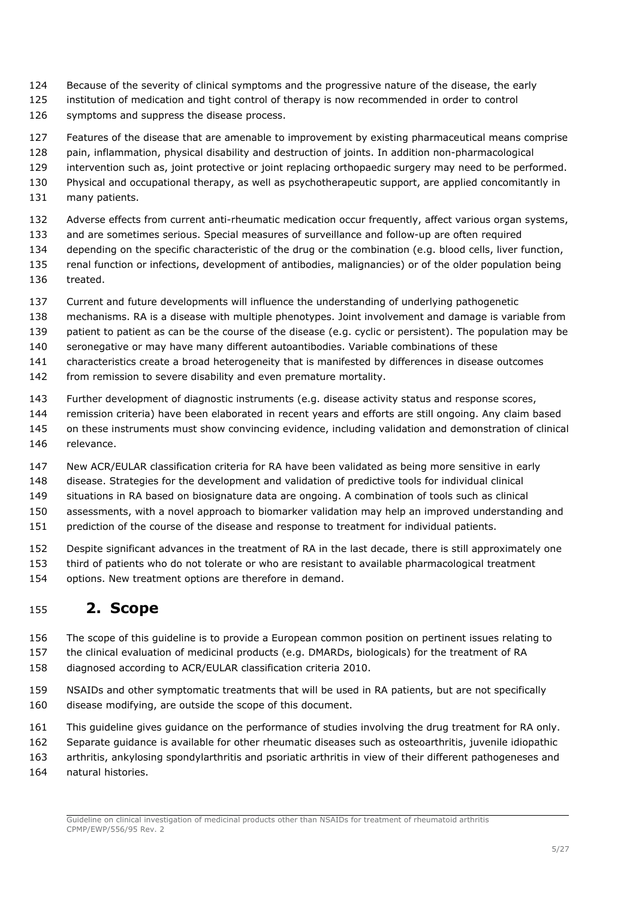- Because of the severity of clinical symptoms and the progressive nature of the disease, the early
- institution of medication and tight control of therapy is now recommended in order to control
- symptoms and suppress the disease process.
- Features of the disease that are amenable to improvement by existing pharmaceutical means comprise
- pain, inflammation, physical disability and destruction of joints. In addition non-pharmacological
- intervention such as, joint protective or joint replacing orthopaedic surgery may need to be performed.
- Physical and occupational therapy, as well as psychotherapeutic support, are applied concomitantly in
- 131 many patients.
- Adverse effects from current anti-rheumatic medication occur frequently, affect various organ systems,
- and are sometimes serious. Special measures of surveillance and follow-up are often required
- depending on the specific characteristic of the drug or the combination (e.g. blood cells, liver function,
- renal function or infections, development of antibodies, malignancies) or of the older population being treated.
- Current and future developments will influence the understanding of underlying pathogenetic
- mechanisms. RA is a disease with multiple phenotypes. Joint involvement and damage is variable from
- patient to patient as can be the course of the disease (e.g. cyclic or persistent). The population may be
- seronegative or may have many different autoantibodies. Variable combinations of these
- characteristics create a broad heterogeneity that is manifested by differences in disease outcomes
- 142 from remission to severe disability and even premature mortality.
- Further development of diagnostic instruments (e.g. disease activity status and response scores,
- remission criteria) have been elaborated in recent years and efforts are still ongoing. Any claim based
- on these instruments must show convincing evidence, including validation and demonstration of clinical relevance.
- New ACR/EULAR classification criteria for RA have been validated as being more sensitive in early
- disease. Strategies for the development and validation of predictive tools for individual clinical
- situations in RA based on biosignature data are ongoing. A combination of tools such as clinical
- assessments, with a novel approach to biomarker validation may help an improved understanding and
- prediction of the course of the disease and response to treatment for individual patients.
- Despite significant advances in the treatment of RA in the last decade, there is still approximately one
- third of patients who do not tolerate or who are resistant to available pharmacological treatment
- options. New treatment options are therefore in demand.

## <span id="page-4-0"></span>**2. Scope**

- The scope of this guideline is to provide a European common position on pertinent issues relating to
- the clinical evaluation of medicinal products (e.g. DMARDs, biologicals) for the treatment of RA
- diagnosed according to ACR/EULAR classification criteria 2010.
- NSAIDs and other symptomatic treatments that will be used in RA patients, but are not specifically disease modifying, are outside the scope of this document.
- This guideline gives guidance on the performance of studies involving the drug treatment for RA only.
- Separate guidance is available for other rheumatic diseases such as osteoarthritis, juvenile idiopathic
- arthritis, ankylosing spondylarthritis and psoriatic arthritis in view of their different pathogeneses and
- natural histories.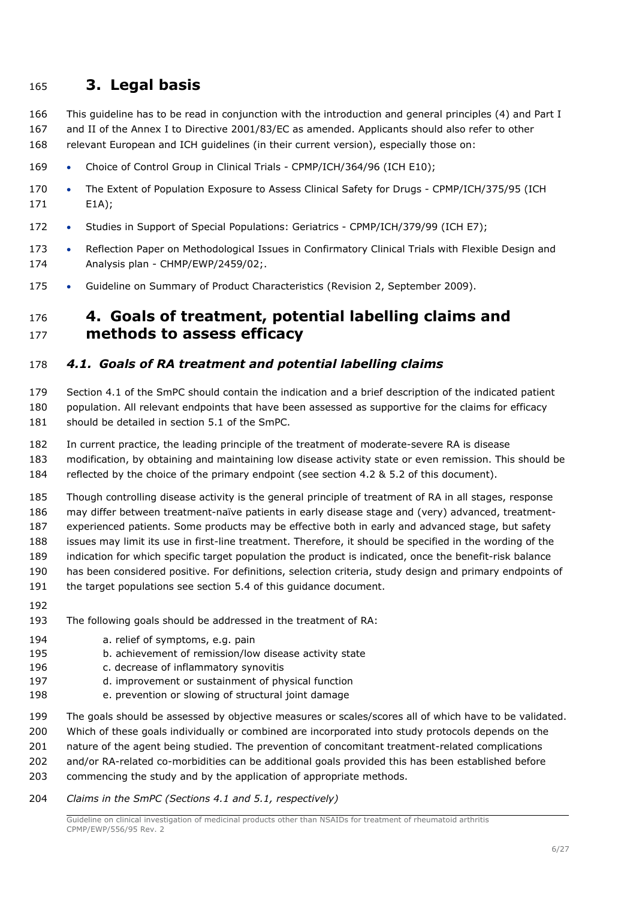## <span id="page-5-0"></span>**3. Legal basis**

- This guideline has to be read in conjunction with the introduction and general principles (4) and Part I
- and II of the Annex I to Directive 2001/83/EC as amended. Applicants should also refer to other
- relevant European and ICH guidelines (in their current version), especially those on:
- 169 Choice of Control Group in Clinical Trials CPMP/ICH/364/96 (ICH E10);
- 170 The Extent of Population Exposure to Assess Clinical Safety for Drugs CPMP/ICH/375/95 (ICH E1A);
- 172 Studies in Support of Special Populations: Geriatrics CPMP/ICH/379/99 (ICH E7);
- 173 Reflection Paper on Methodological Issues in Confirmatory Clinical Trials with Flexible Design and Analysis plan - CHMP/EWP/2459/02;.
- 175 Guideline on Summary of Product Characteristics (Revision 2, September 2009).

## <span id="page-5-1"></span> **4. Goals of treatment, potential labelling claims and methods to assess efficacy**

### <span id="page-5-2"></span>*4.1. Goals of RA treatment and potential labelling claims*

 Section 4.1 of the SmPC should contain the indication and a brief description of the indicated patient population. All relevant endpoints that have been assessed as supportive for the claims for efficacy 181 should be detailed in section 5.1 of the SmPC.

In current practice, the leading principle of the treatment of moderate-severe RA is disease

 modification, by obtaining and maintaining low disease activity state or even remission. This should be reflected by the choice of the primary endpoint (see section 4.2 & 5.2 of this document).

 Though controlling disease activity is the general principle of treatment of RA in all stages, response may differ between treatment-naïve patients in early disease stage and (very) advanced, treatment-experienced patients. Some products may be effective both in early and advanced stage, but safety

issues may limit its use in first-line treatment. Therefore, it should be specified in the wording of the

- indication for which specific target population the product is indicated, once the benefit-risk balance
- has been considered positive. For definitions, selection criteria, study design and primary endpoints of
- the target populations see section 5.4 of this guidance document.
- 
- The following goals should be addressed in the treatment of RA:
- **a.** relief of symptoms, e.g. pain
- b. achievement of remission/low disease activity state
- c. decrease of inflammatory synovitis
- d. improvement or sustainment of physical function
- e. prevention or slowing of structural joint damage
- The goals should be assessed by objective measures or scales/scores all of which have to be validated.
- Which of these goals individually or combined are incorporated into study protocols depends on the
- nature of the agent being studied. The prevention of concomitant treatment-related complications
- and/or RA-related co-morbidities can be additional goals provided this has been established before
- commencing the study and by the application of appropriate methods.

#### *Claims in the SmPC (Sections 4.1 and 5.1, respectively)*

Guideline on clinical investigation of medicinal products other than NSAIDs for treatment of rheumatoid arthritis CPMP/EWP/556/95 Rev. 2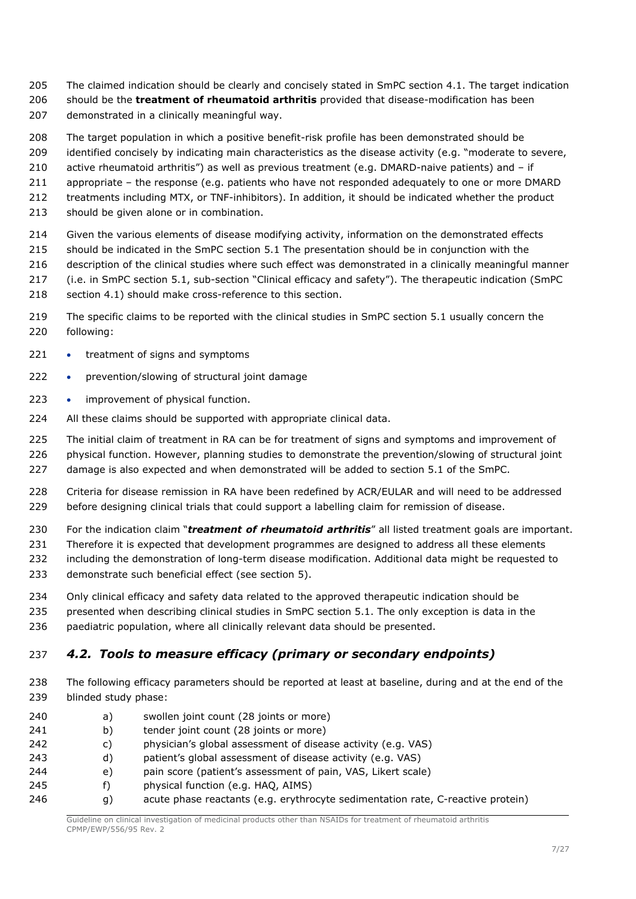- The claimed indication should be clearly and concisely stated in SmPC section 4.1. The target indication
- should be the **treatment of rheumatoid arthritis** provided that disease-modification has been
- demonstrated in a clinically meaningful way.
- The target population in which a positive benefit-risk profile has been demonstrated should be
- identified concisely by indicating main characteristics as the disease activity (e.g. "moderate to severe,
- active rheumatoid arthritis") as well as previous treatment (e.g. DMARD-naive patients) and if
- appropriate the response (e.g. patients who have not responded adequately to one or more DMARD
- treatments including MTX, or TNF-inhibitors). In addition, it should be indicated whether the product
- should be given alone or in combination.
- Given the various elements of disease modifying activity, information on the demonstrated effects
- should be indicated in the SmPC section 5.1 The presentation should be in conjunction with the
- description of the clinical studies where such effect was demonstrated in a clinically meaningful manner
- (i.e. in SmPC section 5.1, sub-section "Clinical efficacy and safety"). The therapeutic indication (SmPC
- 218 section 4.1) should make cross-reference to this section.
- The specific claims to be reported with the clinical studies in SmPC section 5.1 usually concern the following:
- 221 treatment of signs and symptoms
- 222 prevention/slowing of structural joint damage
- 223 improvement of physical function.
- 224 All these claims should be supported with appropriate clinical data.
- The initial claim of treatment in RA can be for treatment of signs and symptoms and improvement of
- 226 physical function. However, planning studies to demonstrate the prevention/slowing of structural joint damage is also expected and when demonstrated will be added to section 5.1 of the SmPC.
- Criteria for disease remission in RA have been redefined by ACR/EULAR and will need to be addressed 229 before designing clinical trials that could support a labelling claim for remission of disease.
- For the indication claim "*treatment of rheumatoid arthritis*" all listed treatment goals are important.
- 231 Therefore it is expected that development programmes are designed to address all these elements
- including the demonstration of long-term disease modification. Additional data might be requested to demonstrate such beneficial effect (see section 5).
- 
- Only clinical efficacy and safety data related to the approved therapeutic indication should be
- presented when describing clinical studies in SmPC section 5.1. The only exception is data in the paediatric population, where all clinically relevant data should be presented.

## <span id="page-6-0"></span>*4.2. Tools to measure efficacy (primary or secondary endpoints)*

- The following efficacy parameters should be reported at least at baseline, during and at the end of the blinded study phase:
- a) swollen joint count (28 joints or more) b) tender joint count (28 joints or more) c) physician's global assessment of disease activity (e.g. VAS) d) patient's global assessment of disease activity (e.g. VAS) e) pain score (patient's assessment of pain, VAS, Likert scale) f) physical function (e.g. HAQ, AIMS)
- 246 g) acute phase reactants (e.g. erythrocyte sedimentation rate, C-reactive protein)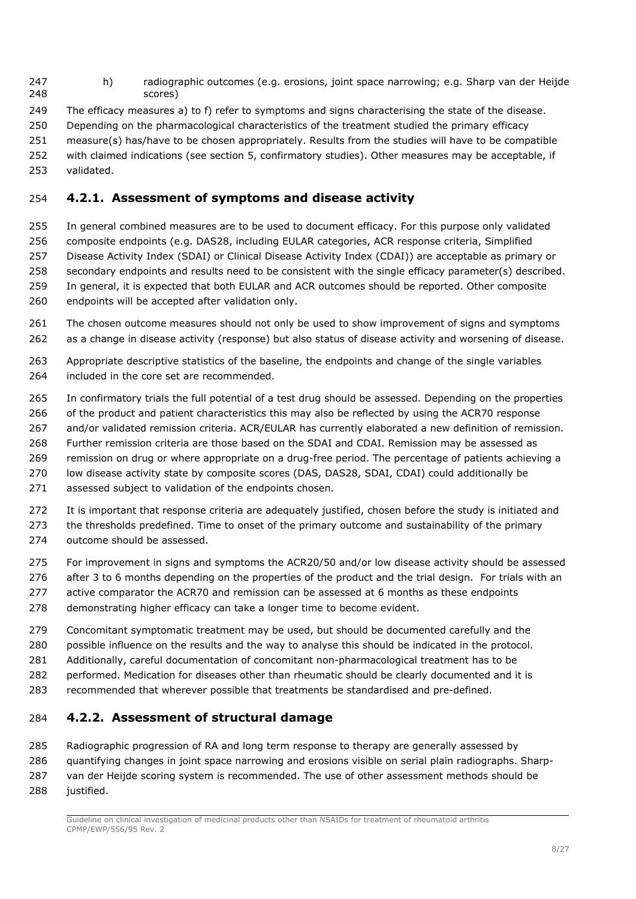- h) radiographic outcomes (e.g. erosions, joint space narrowing; e.g. Sharp van der Heijde scores)
- The efficacy measures a) to f) refer to symptoms and signs characterising the state of the disease.
- Depending on the pharmacological characteristics of the treatment studied the primary efficacy
- measure(s) has/have to be chosen appropriately. Results from the studies will have to be compatible with claimed indications (see section 5, confirmatory studies). Other measures may be acceptable, if
- validated.

### <span id="page-7-0"></span>**4.2.1. Assessment of symptoms and disease activity**

- In general combined measures are to be used to document efficacy. For this purpose only validated composite endpoints (e.g. DAS28, including EULAR categories, ACR response criteria, Simplified Disease Activity Index (SDAI) or Clinical Disease Activity Index (CDAI)) are acceptable as primary or secondary endpoints and results need to be consistent with the single efficacy parameter(s) described. 259 In general, it is expected that both EULAR and ACR outcomes should be reported. Other composite endpoints will be accepted after validation only.
- The chosen outcome measures should not only be used to show improvement of signs and symptoms as a change in disease activity (response) but also status of disease activity and worsening of disease.
- Appropriate descriptive statistics of the baseline, the endpoints and change of the single variables 264 included in the core set are recommended.
- In confirmatory trials the full potential of a test drug should be assessed. Depending on the properties 266 of the product and patient characteristics this may also be reflected by using the ACR70 response and/or validated remission criteria. ACR/EULAR has currently elaborated a new definition of remission. Further remission criteria are those based on the SDAI and CDAI. Remission may be assessed as
- remission on drug or where appropriate on a drug-free period. The percentage of patients achieving a
- low disease activity state by composite scores (DAS, DAS28, SDAI, CDAI) could additionally be
- 271 assessed subject to validation of the endpoints chosen.
- It is important that response criteria are adequately justified, chosen before the study is initiated and
- the thresholds predefined. Time to onset of the primary outcome and sustainability of the primary
- outcome should be assessed.
- For improvement in signs and symptoms the ACR20/50 and/or low disease activity should be assessed
- 276 after 3 to 6 months depending on the properties of the product and the trial design. For trials with an
- 277 active comparator the ACR70 and remission can be assessed at 6 months as these endpoints
- demonstrating higher efficacy can take a longer time to become evident.
- Concomitant symptomatic treatment may be used, but should be documented carefully and the
- possible influence on the results and the way to analyse this should be indicated in the protocol.
- Additionally, careful documentation of concomitant non-pharmacological treatment has to be
- performed. Medication for diseases other than rheumatic should be clearly documented and it is
- recommended that wherever possible that treatments be standardised and pre-defined.

### <span id="page-7-1"></span>**4.2.2. Assessment of structural damage**

 Radiographic progression of RA and long term response to therapy are generally assessed by quantifying changes in joint space narrowing and erosions visible on serial plain radiographs. Sharp-van der Heijde scoring system is recommended. The use of other assessment methods should be

justified.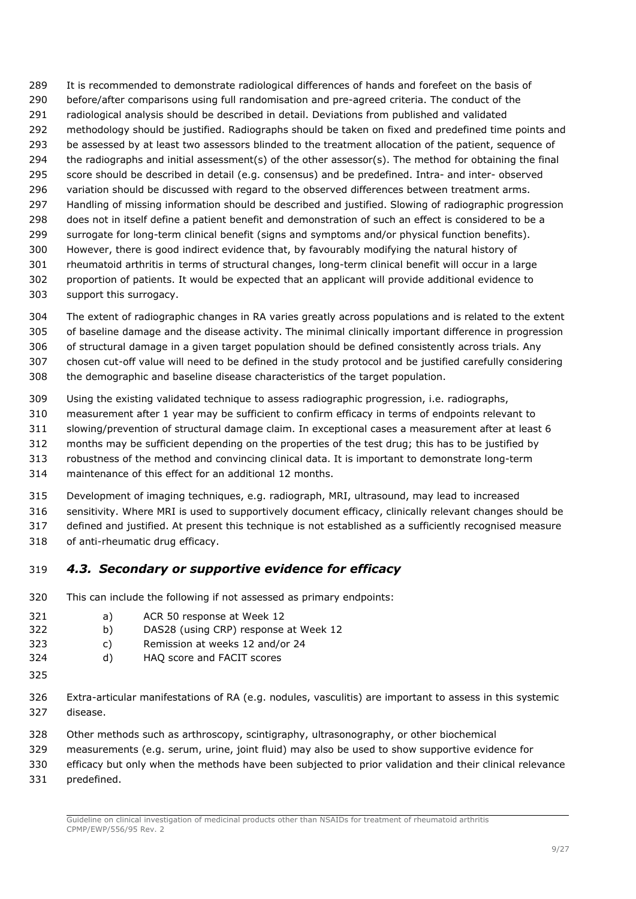It is recommended to demonstrate radiological differences of hands and forefeet on the basis of before/after comparisons using full randomisation and pre-agreed criteria. The conduct of the radiological analysis should be described in detail. Deviations from published and validated methodology should be justified. Radiographs should be taken on fixed and predefined time points and 293 be assessed by at least two assessors blinded to the treatment allocation of the patient, sequence of the radiographs and initial assessment(s) of the other assessor(s). The method for obtaining the final score should be described in detail (e.g. consensus) and be predefined. Intra- and inter- observed 296 variation should be discussed with regard to the observed differences between treatment arms. Handling of missing information should be described and justified. Slowing of radiographic progression does not in itself define a patient benefit and demonstration of such an effect is considered to be a surrogate for long-term clinical benefit (signs and symptoms and/or physical function benefits). However, there is good indirect evidence that, by favourably modifying the natural history of rheumatoid arthritis in terms of structural changes, long-term clinical benefit will occur in a large proportion of patients. It would be expected that an applicant will provide additional evidence to support this surrogacy.

- The extent of radiographic changes in RA varies greatly across populations and is related to the extent of baseline damage and the disease activity. The minimal clinically important difference in progression of structural damage in a given target population should be defined consistently across trials. Any
- chosen cut-off value will need to be defined in the study protocol and be justified carefully considering the demographic and baseline disease characteristics of the target population.
- Using the existing validated technique to assess radiographic progression, i.e. radiographs,
- measurement after 1 year may be sufficient to confirm efficacy in terms of endpoints relevant to
- slowing/prevention of structural damage claim. In exceptional cases a measurement after at least 6
- months may be sufficient depending on the properties of the test drug; this has to be justified by
- robustness of the method and convincing clinical data. It is important to demonstrate long-term
- maintenance of this effect for an additional 12 months.
- Development of imaging techniques, e.g. radiograph, MRI, ultrasound, may lead to increased
- sensitivity. Where MRI is used to supportively document efficacy, clinically relevant changes should be
- defined and justified. At present this technique is not established as a sufficiently recognised measure
- of anti-rheumatic drug efficacy.

## <span id="page-8-0"></span>*4.3. Secondary or supportive evidence for efficacy*

- This can include the following if not assessed as primary endpoints:
- a) ACR 50 response at Week 12
- b) DAS28 (using CRP) response at Week 12
- c) Remission at weeks 12 and/or 24
- d) HAQ score and FACIT scores
- 
- Extra-articular manifestations of RA (e.g. nodules, vasculitis) are important to assess in this systemic disease.
- Other methods such as arthroscopy, scintigraphy, ultrasonography, or other biochemical
- measurements (e.g. serum, urine, joint fluid) may also be used to show supportive evidence for
- efficacy but only when the methods have been subjected to prior validation and their clinical relevance
- predefined.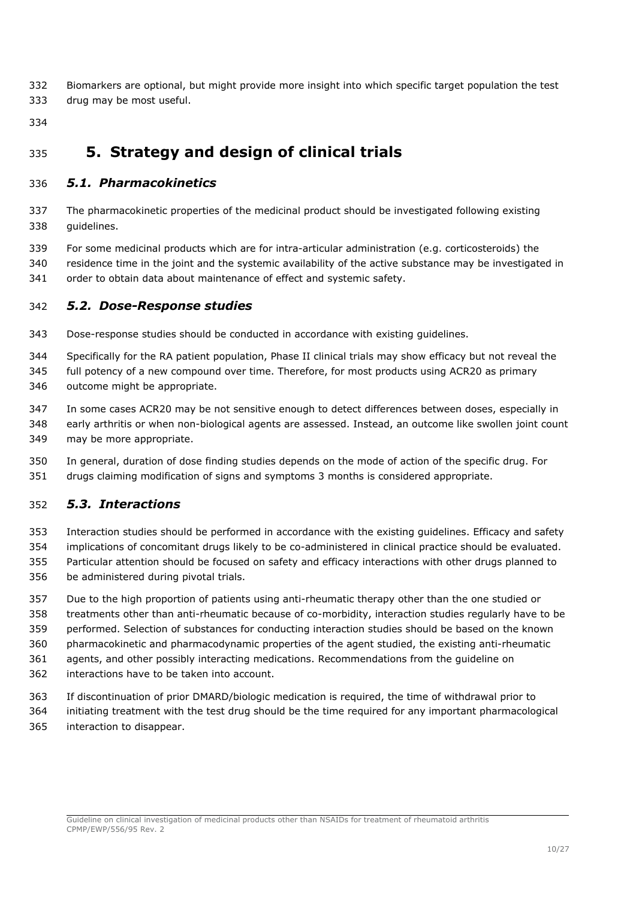- Biomarkers are optional, but might provide more insight into which specific target population the test drug may be most useful.
- 

# <span id="page-9-0"></span>**5. Strategy and design of clinical trials**

### <span id="page-9-1"></span>*5.1. Pharmacokinetics*

- The pharmacokinetic properties of the medicinal product should be investigated following existing guidelines.
- For some medicinal products which are for intra-articular administration (e.g. corticosteroids) the residence time in the joint and the systemic availability of the active substance may be investigated in
- order to obtain data about maintenance of effect and systemic safety.

### <span id="page-9-2"></span>*5.2. Dose-Response studies*

- Dose-response studies should be conducted in accordance with existing guidelines.
- Specifically for the RA patient population, Phase II clinical trials may show efficacy but not reveal the full potency of a new compound over time. Therefore, for most products using ACR20 as primary
- outcome might be appropriate.
- In some cases ACR20 may be not sensitive enough to detect differences between doses, especially in
- early arthritis or when non-biological agents are assessed. Instead, an outcome like swollen joint count may be more appropriate.
- In general, duration of dose finding studies depends on the mode of action of the specific drug. For drugs claiming modification of signs and symptoms 3 months is considered appropriate.

## <span id="page-9-3"></span>*5.3. Interactions*

- Interaction studies should be performed in accordance with the existing guidelines. Efficacy and safety implications of concomitant drugs likely to be co-administered in clinical practice should be evaluated. Particular attention should be focused on safety and efficacy interactions with other drugs planned to be administered during pivotal trials.
- Due to the high proportion of patients using anti-rheumatic therapy other than the one studied or treatments other than anti-rheumatic because of co-morbidity, interaction studies regularly have to be performed. Selection of substances for conducting interaction studies should be based on the known
- pharmacokinetic and pharmacodynamic properties of the agent studied, the existing anti-rheumatic
- agents, and other possibly interacting medications. Recommendations from the guideline on
- interactions have to be taken into account.
- If discontinuation of prior DMARD/biologic medication is required, the time of withdrawal prior to
- initiating treatment with the test drug should be the time required for any important pharmacological
- interaction to disappear.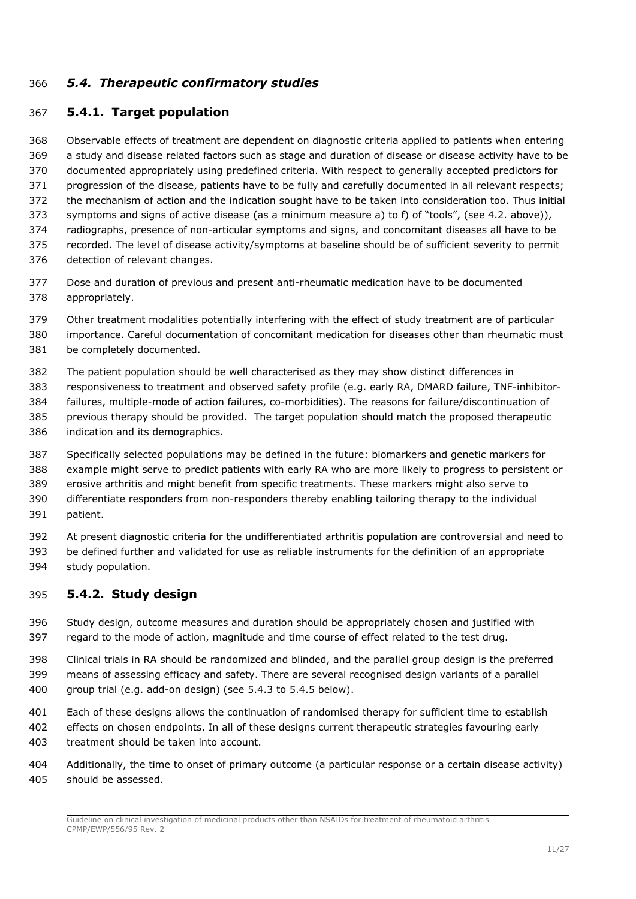### <span id="page-10-0"></span>*5.4. Therapeutic confirmatory studies*

#### <span id="page-10-1"></span>**5.4.1. Target population**

 Observable effects of treatment are dependent on diagnostic criteria applied to patients when entering a study and disease related factors such as stage and duration of disease or disease activity have to be documented appropriately using predefined criteria. With respect to generally accepted predictors for progression of the disease, patients have to be fully and carefully documented in all relevant respects; the mechanism of action and the indication sought have to be taken into consideration too. Thus initial symptoms and signs of active disease (as a minimum measure a) to f) of "tools", (see 4.2. above)), radiographs, presence of non-articular symptoms and signs, and concomitant diseases all have to be recorded. The level of disease activity/symptoms at baseline should be of sufficient severity to permit detection of relevant changes.

- Dose and duration of previous and present anti-rheumatic medication have to be documented appropriately.
- Other treatment modalities potentially interfering with the effect of study treatment are of particular
- importance. Careful documentation of concomitant medication for diseases other than rheumatic must be completely documented.
- The patient population should be well characterised as they may show distinct differences in
- responsiveness to treatment and observed safety profile (e.g. early RA, DMARD failure, TNF-inhibitor-
- failures, multiple-mode of action failures, co-morbidities). The reasons for failure/discontinuation of
- previous therapy should be provided. The target population should match the proposed therapeutic indication and its demographics.
- Specifically selected populations may be defined in the future: biomarkers and genetic markers for example might serve to predict patients with early RA who are more likely to progress to persistent or erosive arthritis and might benefit from specific treatments. These markers might also serve to differentiate responders from non-responders thereby enabling tailoring therapy to the individual
- patient.

 At present diagnostic criteria for the undifferentiated arthritis population are controversial and need to be defined further and validated for use as reliable instruments for the definition of an appropriate study population.

#### <span id="page-10-2"></span>**5.4.2. Study design**

- Study design, outcome measures and duration should be appropriately chosen and justified with regard to the mode of action, magnitude and time course of effect related to the test drug.
- Clinical trials in RA should be randomized and blinded, and the parallel group design is the preferred means of assessing efficacy and safety. There are several recognised design variants of a parallel group trial (e.g. add-on design) (see 5.4.3 to 5.4.5 below).
- Each of these designs allows the continuation of randomised therapy for sufficient time to establish
- effects on chosen endpoints. In all of these designs current therapeutic strategies favouring early treatment should be taken into account.
- Additionally, the time to onset of primary outcome (a particular response or a certain disease activity) should be assessed.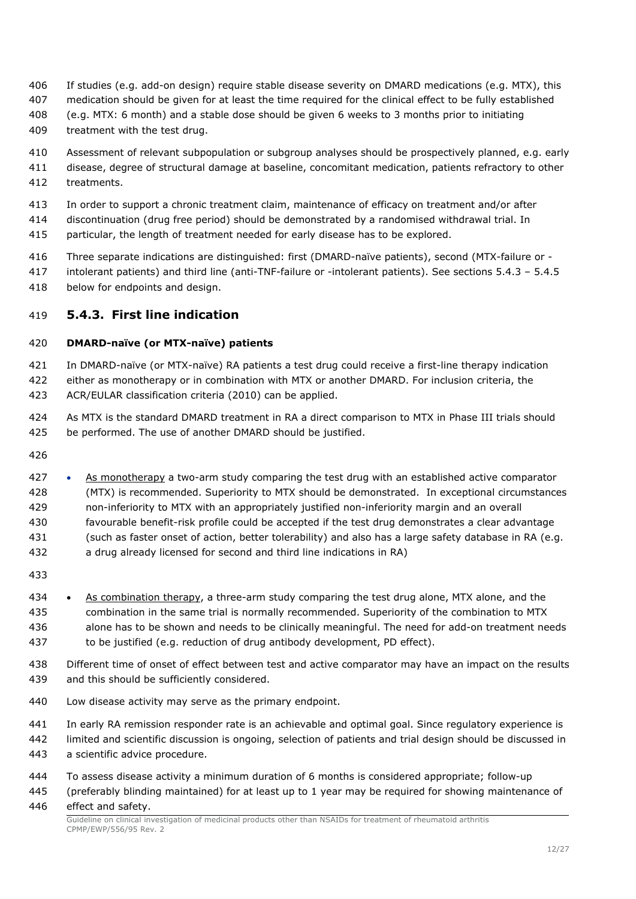- If studies (e.g. add-on design) require stable disease severity on DMARD medications (e.g. MTX), this
- medication should be given for at least the time required for the clinical effect to be fully established
- (e.g. MTX: 6 month) and a stable dose should be given 6 weeks to 3 months prior to initiating
- treatment with the test drug.
- Assessment of relevant subpopulation or subgroup analyses should be prospectively planned, e.g. early
- disease, degree of structural damage at baseline, concomitant medication, patients refractory to other
- treatments.
- In order to support a chronic treatment claim, maintenance of efficacy on treatment and/or after
- discontinuation (drug free period) should be demonstrated by a randomised withdrawal trial. In
- particular, the length of treatment needed for early disease has to be explored.
- Three separate indications are distinguished: first (DMARD-naïve patients), second (MTX-failure or -
- intolerant patients) and third line (anti-TNF-failure or -intolerant patients). See sections 5.4.3 5.4.5 below for endpoints and design.

### <span id="page-11-0"></span>**5.4.3. First line indication**

#### **DMARD-naïve (or MTX-naïve) patients**

 In DMARD-naïve (or MTX-naïve) RA patients a test drug could receive a first-line therapy indication either as monotherapy or in combination with MTX or another DMARD. For inclusion criteria, the ACR/EULAR classification criteria (2010) can be applied.

- As MTX is the standard DMARD treatment in RA a direct comparison to MTX in Phase III trials should be performed. The use of another DMARD should be justified.
- 
- 427 As monotherapy a two-arm study comparing the test drug with an established active comparator (MTX) is recommended. Superiority to MTX should be demonstrated. In exceptional circumstances non-inferiority to MTX with an appropriately justified non-inferiority margin and an overall favourable benefit-risk profile could be accepted if the test drug demonstrates a clear advantage (such as faster onset of action, better tolerability) and also has a large safety database in RA (e.g.
- a drug already licensed for second and third line indications in RA)
- 
- As combination therapy, a three-arm study comparing the test drug alone, MTX alone, and the combination in the same trial is normally recommended. Superiority of the combination to MTX alone has to be shown and needs to be clinically meaningful. The need for add-on treatment needs to be justified (e.g. reduction of drug antibody development, PD effect).
- Different time of onset of effect between test and active comparator may have an impact on the results and this should be sufficiently considered.
- Low disease activity may serve as the primary endpoint.
- In early RA remission responder rate is an achievable and optimal goal. Since regulatory experience is
- limited and scientific discussion is ongoing, selection of patients and trial design should be discussed in a scientific advice procedure.
- To assess disease activity a minimum duration of 6 months is considered appropriate; follow-up
- (preferably blinding maintained) for at least up to 1 year may be required for showing maintenance of effect and safety.

Guideline on clinical investigation of medicinal products other than NSAIDs for treatment of rheumatoid arthritis CPMP/EWP/556/95 Rev. 2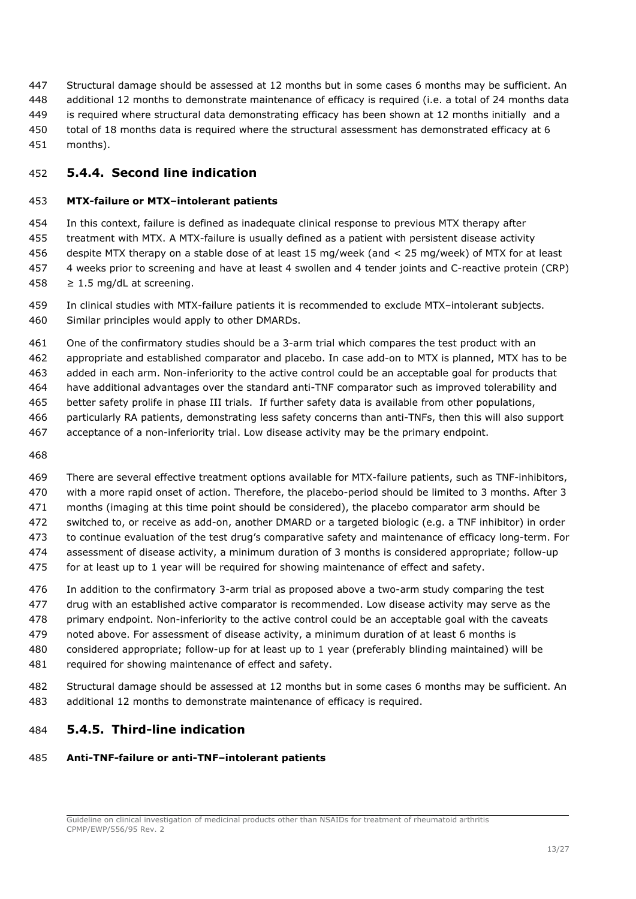Structural damage should be assessed at 12 months but in some cases 6 months may be sufficient. An additional 12 months to demonstrate maintenance of efficacy is required (i.e. a total of 24 months data is required where structural data demonstrating efficacy has been shown at 12 months initially and a total of 18 months data is required where the structural assessment has demonstrated efficacy at 6 months).

#### <span id="page-12-0"></span>**5.4.4. Second line indication**

#### **MTX-failure or MTX–intolerant patients**

 In this context, failure is defined as inadequate clinical response to previous MTX therapy after treatment with MTX. A MTX-failure is usually defined as a patient with persistent disease activity despite MTX therapy on a stable dose of at least 15 mg/week (and < 25 mg/week) of MTX for at least 4 weeks prior to screening and have at least 4 swollen and 4 tender joints and C-reactive protein (CRP)  $≥ 1.5$  mg/dL at screening.

 In clinical studies with MTX-failure patients it is recommended to exclude MTX–intolerant subjects. Similar principles would apply to other DMARDs.

One of the confirmatory studies should be a 3-arm trial which compares the test product with an

appropriate and established comparator and placebo. In case add-on to MTX is planned, MTX has to be

added in each arm. Non-inferiority to the active control could be an acceptable goal for products that

have additional advantages over the standard anti-TNF comparator such as improved tolerability and

better safety prolife in phase III trials. If further safety data is available from other populations,

- particularly RA patients, demonstrating less safety concerns than anti-TNFs, then this will also support
- acceptance of a non-inferiority trial. Low disease activity may be the primary endpoint.
- 

 There are several effective treatment options available for MTX-failure patients, such as TNF-inhibitors, with a more rapid onset of action. Therefore, the placebo-period should be limited to 3 months. After 3 months (imaging at this time point should be considered), the placebo comparator arm should be switched to, or receive as add-on, another DMARD or a targeted biologic (e.g. a TNF inhibitor) in order to continue evaluation of the test drug's comparative safety and maintenance of efficacy long-term. For assessment of disease activity, a minimum duration of 3 months is considered appropriate; follow-up

for at least up to 1 year will be required for showing maintenance of effect and safety.

 In addition to the confirmatory 3-arm trial as proposed above a two-arm study comparing the test drug with an established active comparator is recommended. Low disease activity may serve as the primary endpoint. Non-inferiority to the active control could be an acceptable goal with the caveats

- noted above. For assessment of disease activity, a minimum duration of at least 6 months is
- considered appropriate; follow-up for at least up to 1 year (preferably blinding maintained) will be
- required for showing maintenance of effect and safety.

 Structural damage should be assessed at 12 months but in some cases 6 months may be sufficient. An additional 12 months to demonstrate maintenance of efficacy is required.

#### <span id="page-12-1"></span>**5.4.5. Third-line indication**

#### **Anti-TNF-failure or anti-TNF–intolerant patients**

Guideline on clinical investigation of medicinal products other than NSAIDs for treatment of rheumatoid arthritis CPMP/EWP/556/95 Rev. 2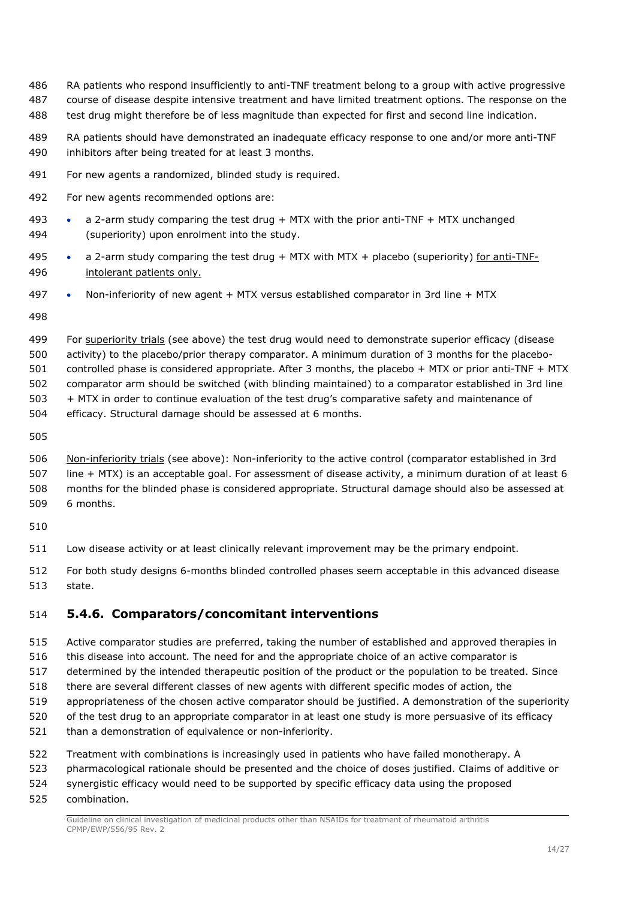- RA patients who respond insufficiently to anti-TNF treatment belong to a group with active progressive
- course of disease despite intensive treatment and have limited treatment options. The response on the
- test drug might therefore be of less magnitude than expected for first and second line indication.
- RA patients should have demonstrated an inadequate efficacy response to one and/or more anti-TNF inhibitors after being treated for at least 3 months.
- For new agents a randomized, blinded study is required.
- For new agents recommended options are:
- a 2-arm study comparing the test drug + MTX with the prior anti-TNF + MTX unchanged (superiority) upon enrolment into the study.
- 495 a 2-arm study comparing the test drug + MTX with MTX + placebo (superiority) for anti-TNF-intolerant patients only.
- Non-inferiority of new agent + MTX versus established comparator in 3rd line + MTX

- 499 For superiority trials (see above) the test drug would need to demonstrate superior efficacy (disease activity) to the placebo/prior therapy comparator. A minimum duration of 3 months for the placebo- controlled phase is considered appropriate. After 3 months, the placebo + MTX or prior anti-TNF + MTX comparator arm should be switched (with blinding maintained) to a comparator established in 3rd line + MTX in order to continue evaluation of the test drug's comparative safety and maintenance of efficacy. Structural damage should be assessed at 6 months.
- 

 Non-inferiority trials (see above): Non-inferiority to the active control (comparator established in 3rd line + MTX) is an acceptable goal. For assessment of disease activity, a minimum duration of at least 6 months for the blinded phase is considered appropriate. Structural damage should also be assessed at 6 months.

- 
- Low disease activity or at least clinically relevant improvement may be the primary endpoint.
- For both study designs 6-months blinded controlled phases seem acceptable in this advanced disease state.

### <span id="page-13-0"></span>**5.4.6. Comparators/concomitant interventions**

- Active comparator studies are preferred, taking the number of established and approved therapies in
- this disease into account. The need for and the appropriate choice of an active comparator is
- determined by the intended therapeutic position of the product or the population to be treated. Since
- there are several different classes of new agents with different specific modes of action, the
- appropriateness of the chosen active comparator should be justified. A demonstration of the superiority
- of the test drug to an appropriate comparator in at least one study is more persuasive of its efficacy
- than a demonstration of equivalence or non-inferiority.
- Treatment with combinations is increasingly used in patients who have failed monotherapy. A
- pharmacological rationale should be presented and the choice of doses justified. Claims of additive or
- synergistic efficacy would need to be supported by specific efficacy data using the proposed
- combination.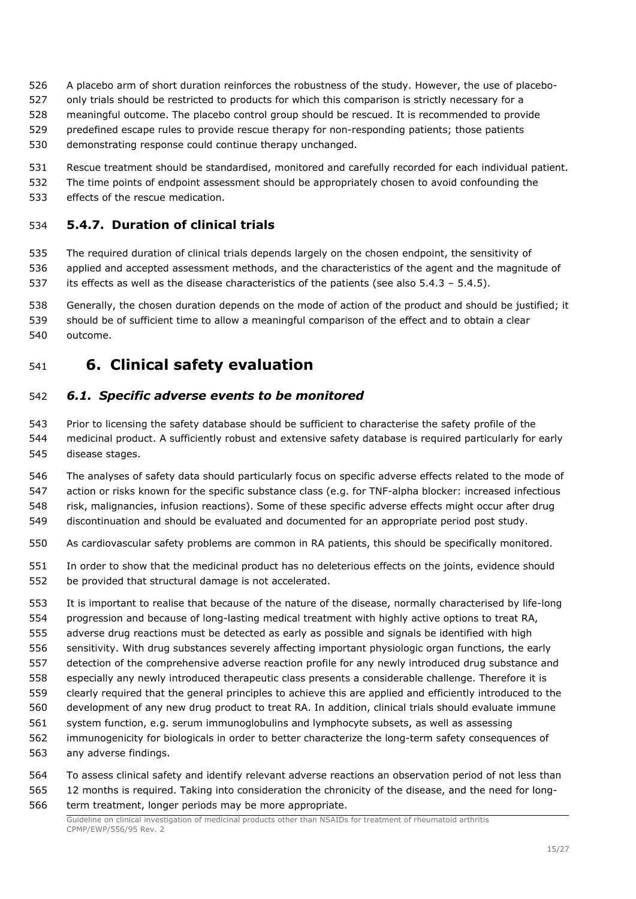- A placebo arm of short duration reinforces the robustness of the study. However, the use of placebo-
- only trials should be restricted to products for which this comparison is strictly necessary for a
- meaningful outcome. The placebo control group should be rescued. It is recommended to provide
- predefined escape rules to provide rescue therapy for non-responding patients; those patients
- demonstrating response could continue therapy unchanged.
- Rescue treatment should be standardised, monitored and carefully recorded for each individual patient.
- The time points of endpoint assessment should be appropriately chosen to avoid confounding the
- effects of the rescue medication.

### <span id="page-14-0"></span>**5.4.7. Duration of clinical trials**

 The required duration of clinical trials depends largely on the chosen endpoint, the sensitivity of applied and accepted assessment methods, and the characteristics of the agent and the magnitude of its effects as well as the disease characteristics of the patients (see also 5.4.3 – 5.4.5).

 Generally, the chosen duration depends on the mode of action of the product and should be justified; it should be of sufficient time to allow a meaningful comparison of the effect and to obtain a clear outcome.

## <span id="page-14-1"></span>**6. Clinical safety evaluation**

### <span id="page-14-2"></span>*6.1. Specific adverse events to be monitored*

 Prior to licensing the safety database should be sufficient to characterise the safety profile of the medicinal product. A sufficiently robust and extensive safety database is required particularly for early disease stages.

 The analyses of safety data should particularly focus on specific adverse effects related to the mode of action or risks known for the specific substance class (e.g. for TNF-alpha blocker: increased infectious risk, malignancies, infusion reactions). Some of these specific adverse effects might occur after drug discontinuation and should be evaluated and documented for an appropriate period post study.

- As cardiovascular safety problems are common in RA patients, this should be specifically monitored.
- In order to show that the medicinal product has no deleterious effects on the joints, evidence should be provided that structural damage is not accelerated.
- It is important to realise that because of the nature of the disease, normally characterised by life-long progression and because of long-lasting medical treatment with highly active options to treat RA,
- adverse drug reactions must be detected as early as possible and signals be identified with high
- sensitivity. With drug substances severely affecting important physiologic organ functions, the early
- detection of the comprehensive adverse reaction profile for any newly introduced drug substance and
- especially any newly introduced therapeutic class presents a considerable challenge. Therefore it is
- clearly required that the general principles to achieve this are applied and efficiently introduced to the
- development of any new drug product to treat RA. In addition, clinical trials should evaluate immune
- system function, e.g. serum immunoglobulins and lymphocyte subsets, as well as assessing
- immunogenicity for biologicals in order to better characterize the long-term safety consequences of any adverse findings.
- To assess clinical safety and identify relevant adverse reactions an observation period of not less than 12 months is required. Taking into consideration the chronicity of the disease, and the need for long-
- term treatment, longer periods may be more appropriate.

Guideline on clinical investigation of medicinal products other than NSAIDs for treatment of rheumatoid arthritis CPMP/EWP/556/95 Rev. 2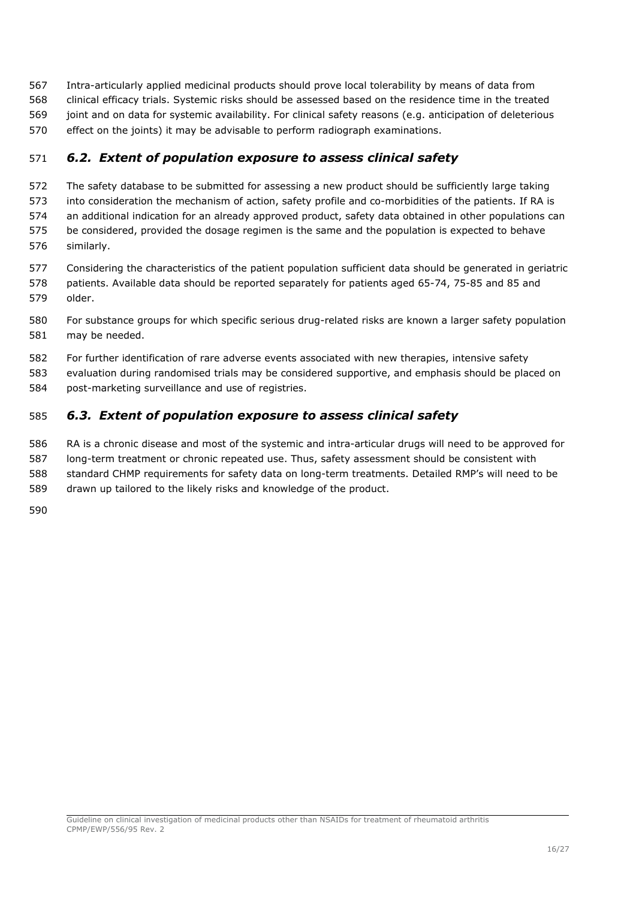- Intra-articularly applied medicinal products should prove local tolerability by means of data from
- clinical efficacy trials. Systemic risks should be assessed based on the residence time in the treated joint and on data for systemic availability. For clinical safety reasons (e.g. anticipation of deleterious
- effect on the joints) it may be advisable to perform radiograph examinations.

## <span id="page-15-0"></span>*6.2. Extent of population exposure to assess clinical safety*

- The safety database to be submitted for assessing a new product should be sufficiently large taking
- into consideration the mechanism of action, safety profile and co-morbidities of the patients. If RA is
- an additional indication for an already approved product, safety data obtained in other populations can
- be considered, provided the dosage regimen is the same and the population is expected to behave similarly.
- Considering the characteristics of the patient population sufficient data should be generated in geriatric
- patients. Available data should be reported separately for patients aged 65-74, 75-85 and 85 and older.
- For substance groups for which specific serious drug-related risks are known a larger safety population may be needed.
- For further identification of rare adverse events associated with new therapies, intensive safety
- evaluation during randomised trials may be considered supportive, and emphasis should be placed on
- post-marketing surveillance and use of registries.

## <span id="page-15-1"></span>*6.3. Extent of population exposure to assess clinical safety*

- RA is a chronic disease and most of the systemic and intra-articular drugs will need to be approved for
- long-term treatment or chronic repeated use. Thus, safety assessment should be consistent with standard CHMP requirements for safety data on long-term treatments. Detailed RMP's will need to be
- drawn up tailored to the likely risks and knowledge of the product.
- 

Guideline on clinical investigation of medicinal products other than NSAIDs for treatment of rheumatoid arthritis CPMP/EWP/556/95 Rev. 2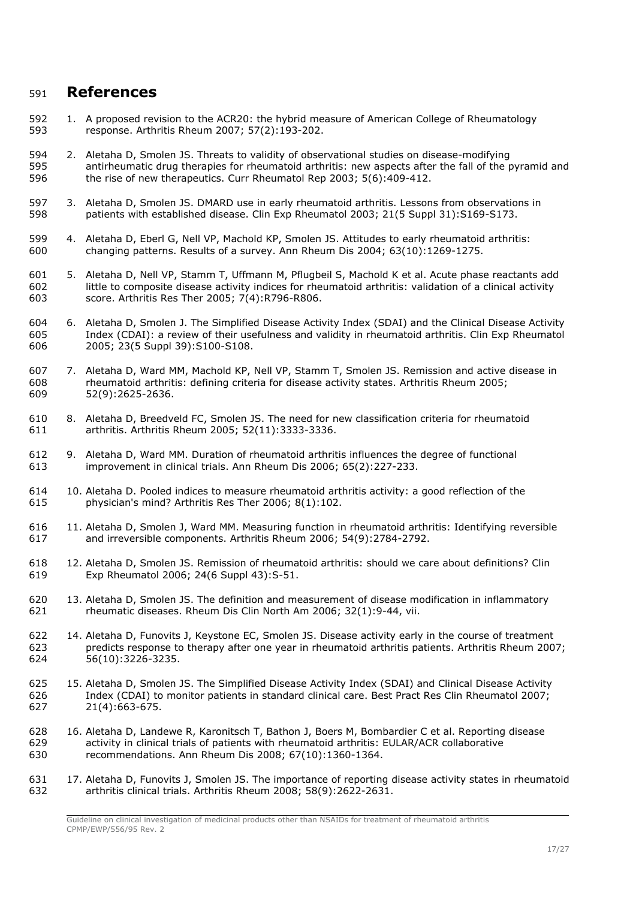## <span id="page-16-0"></span>**References**

- 592 1. A proposed revision to the ACR20: the hybrid measure of American College of Rheumatology<br>593 response. Arthritis Rheum 2007: 57(2):193-202. response. Arthritis Rheum 2007; 57(2):193-202.
- 2. Aletaha D, Smolen JS. Threats to validity of observational studies on disease-modifying antirheumatic drug therapies for rheumatoid arthritis: new aspects after the fall of the pyramid and the rise of new therapeutics. Curr Rheumatol Rep 2003; 5(6):409-412.
- 3. Aletaha D, Smolen JS. DMARD use in early rheumatoid arthritis. Lessons from observations in patients with established disease. Clin Exp Rheumatol 2003; 21(5 Suppl 31):S169-S173.
- 599 4. Aletaha D, Eberl G, Nell VP, Machold KP, Smolen JS. Attitudes to early rheumatoid arthritis:<br>600 changing patterns. Results of a survey. Ann Rheum Dis 2004; 63(10):1269-1275. changing patterns. Results of a survey. Ann Rheum Dis 2004; 63(10):1269-1275.
- 5. Aletaha D, Nell VP, Stamm T, Uffmann M, Pflugbeil S, Machold K et al. Acute phase reactants add little to composite disease activity indices for rheumatoid arthritis: validation of a clinical activity score. Arthritis Res Ther 2005;  $7(4)$ :R796-R806.
- 6. Aletaha D, Smolen J. The Simplified Disease Activity Index (SDAI) and the Clinical Disease Activity Index (CDAI): a review of their usefulness and validity in rheumatoid arthritis. Clin Exp Rheumatol 2005; 23(5 Suppl 39):S100-S108.
- 7. Aletaha D, Ward MM, Machold KP, Nell VP, Stamm T, Smolen JS. Remission and active disease in rheumatoid arthritis: defining criteria for disease activity states. Arthritis Rheum 2005; 52(9):2625-2636.
- 8. Aletaha D, Breedveld FC, Smolen JS. The need for new classification criteria for rheumatoid arthritis. Arthritis Rheum 2005; 52(11):3333-3336.
- 9. Aletaha D, Ward MM. Duration of rheumatoid arthritis influences the degree of functional improvement in clinical trials. Ann Rheum Dis 2006; 65(2):227-233.
- 10. Aletaha D. Pooled indices to measure rheumatoid arthritis activity: a good reflection of the physician's mind? Arthritis Res Ther 2006; 8(1):102.
- 11. Aletaha D, Smolen J, Ward MM. Measuring function in rheumatoid arthritis: Identifying reversible and irreversible components. Arthritis Rheum 2006; 54(9):2784-2792.
- 12. Aletaha D, Smolen JS. Remission of rheumatoid arthritis: should we care about definitions? Clin Exp Rheumatol 2006; 24(6 Suppl 43):S-51.
- 13. Aletaha D, Smolen JS. The definition and measurement of disease modification in inflammatory rheumatic diseases. Rheum Dis Clin North Am 2006; 32(1):9-44, vii.
- 14. Aletaha D, Funovits J, Keystone EC, Smolen JS. Disease activity early in the course of treatment predicts response to therapy after one year in rheumatoid arthritis patients. Arthritis Rheum 2007; 56(10):3226-3235.
- 15. Aletaha D, Smolen JS. The Simplified Disease Activity Index (SDAI) and Clinical Disease Activity Index (CDAI) to monitor patients in standard clinical care. Best Pract Res Clin Rheumatol 2007; 21(4):663-675.
- 16. Aletaha D, Landewe R, Karonitsch T, Bathon J, Boers M, Bombardier C et al. Reporting disease activity in clinical trials of patients with rheumatoid arthritis: EULAR/ACR collaborative recommendations. Ann Rheum Dis 2008; 67(10):1360-1364.
- 17. Aletaha D, Funovits J, Smolen JS. The importance of reporting disease activity states in rheumatoid arthritis clinical trials. Arthritis Rheum 2008; 58(9):2622-2631.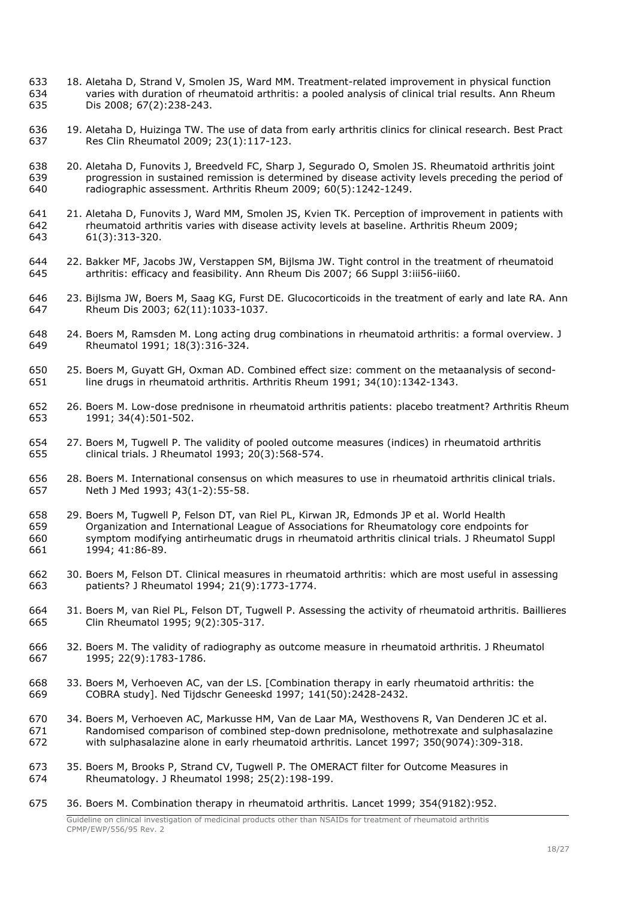- 633 18. Aletaha D, Strand V, Smolen JS, Ward MM. Treatment-related improvement in physical function<br>634 varies with duration of rheumatoid arthritis: a pooled analysis of clinical trial results. Ann Rheum varies with duration of rheumatoid arthritis: a pooled analysis of clinical trial results. Ann Rheum Dis 2008; 67(2):238-243.
- 19. Aletaha D, Huizinga TW. The use of data from early arthritis clinics for clinical research. Best Pract Res Clin Rheumatol 2009; 23(1):117-123.
- 20. Aletaha D, Funovits J, Breedveld FC, Sharp J, Segurado O, Smolen JS. Rheumatoid arthritis joint progression in sustained remission is determined by disease activity levels preceding the period of radiographic assessment. Arthritis Rheum 2009; 60(5):1242-1249.
- 21. Aletaha D, Funovits J, Ward MM, Smolen JS, Kvien TK. Perception of improvement in patients with rheumatoid arthritis varies with disease activity levels at baseline. Arthritis Rheum 2009; 61(3):313-320.
- 22. Bakker MF, Jacobs JW, Verstappen SM, Bijlsma JW. Tight control in the treatment of rheumatoid arthritis: efficacy and feasibility. Ann Rheum Dis 2007; 66 Suppl 3:iii56-iii60.
- 646 23. Bijlsma JW, Boers M, Saag KG, Furst DE. Glucocorticoids in the treatment of early and late RA. Ann 647 Rheum Dis 2003; 62(11):1033-1037.
- 24. Boers M, Ramsden M. Long acting drug combinations in rheumatoid arthritis: a formal overview. J Rheumatol 1991; 18(3):316-324.
- 25. Boers M, Guyatt GH, Oxman AD. Combined effect size: comment on the metaanalysis of second-line drugs in rheumatoid arthritis. Arthritis Rheum 1991; 34(10):1342-1343.
- 26. Boers M. Low-dose prednisone in rheumatoid arthritis patients: placebo treatment? Arthritis Rheum 1991; 34(4):501-502.
- 27. Boers M, Tugwell P. The validity of pooled outcome measures (indices) in rheumatoid arthritis clinical trials. J Rheumatol 1993; 20(3):568-574.
- 28. Boers M. International consensus on which measures to use in rheumatoid arthritis clinical trials. Neth J Med 1993; 43(1-2):55-58.
- 29. Boers M, Tugwell P, Felson DT, van Riel PL, Kirwan JR, Edmonds JP et al. World Health Organization and International League of Associations for Rheumatology core endpoints for symptom modifying antirheumatic drugs in rheumatoid arthritis clinical trials. J Rheumatol Suppl 1994; 41:86-89.
- 30. Boers M, Felson DT. Clinical measures in rheumatoid arthritis: which are most useful in assessing patients? J Rheumatol 1994; 21(9):1773-1774.
- 31. Boers M, van Riel PL, Felson DT, Tugwell P. Assessing the activity of rheumatoid arthritis. Baillieres Clin Rheumatol 1995; 9(2):305-317.
- 32. Boers M. The validity of radiography as outcome measure in rheumatoid arthritis. J Rheumatol 1995; 22(9):1783-1786.
- 33. Boers M, Verhoeven AC, van der LS. [Combination therapy in early rheumatoid arthritis: the COBRA study]. Ned Tijdschr Geneeskd 1997; 141(50):2428-2432.
- 34. Boers M, Verhoeven AC, Markusse HM, Van de Laar MA, Westhovens R, Van Denderen JC et al. Randomised comparison of combined step-down prednisolone, methotrexate and sulphasalazine with sulphasalazine alone in early rheumatoid arthritis. Lancet 1997; 350(9074):309-318.
- 35. Boers M, Brooks P, Strand CV, Tugwell P. The OMERACT filter for Outcome Measures in Rheumatology. J Rheumatol 1998; 25(2):198-199.
- Guideline on clinical investigation of medicinal products other than NSAIDs for treatment of rheumatoid arthritis 36. Boers M. Combination therapy in rheumatoid arthritis. Lancet 1999; 354(9182):952.

CPMP/EWP/556/95 Rev. 2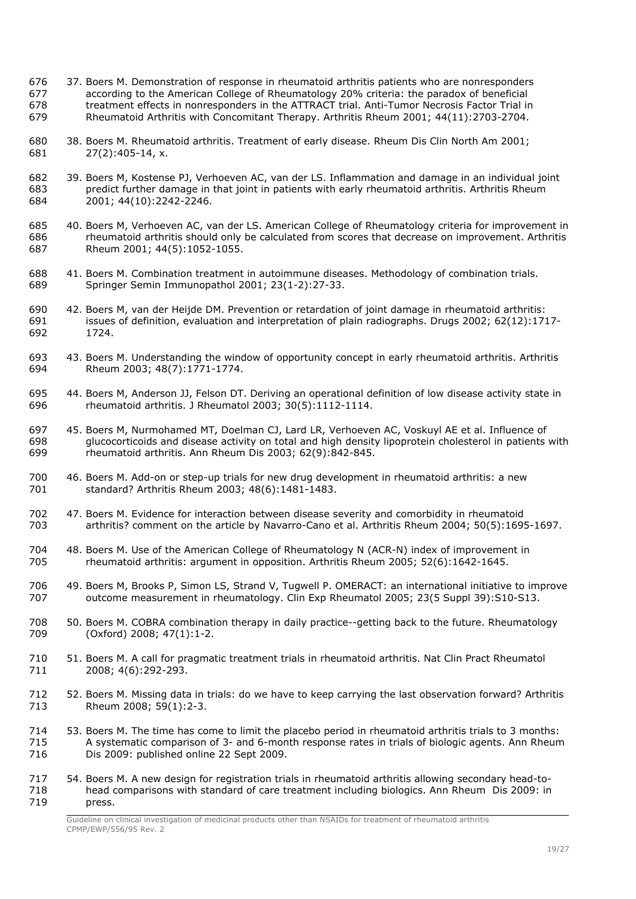- 676 37. Boers M. Demonstration of response in rheumatoid arthritis patients who are nonresponders<br>677 according to the American College of Rheumatology 20% criteria: the paradox of beneficial according to the American College of Rheumatology 20% criteria: the paradox of beneficial treatment effects in nonresponders in the ATTRACT trial. Anti-Tumor Necrosis Factor Trial in Rheumatoid Arthritis with Concomitant Therapy. Arthritis Rheum 2001; 44(11):2703-2704.
- 38. Boers M. Rheumatoid arthritis. Treatment of early disease. Rheum Dis Clin North Am 2001; 27(2):405-14, x.
- 39. Boers M, Kostense PJ, Verhoeven AC, van der LS. Inflammation and damage in an individual joint predict further damage in that joint in patients with early rheumatoid arthritis. Arthritis Rheum 2001; 44(10):2242-2246.
- 40. Boers M, Verhoeven AC, van der LS. American College of Rheumatology criteria for improvement in rheumatoid arthritis should only be calculated from scores that decrease on improvement. Arthritis Rheum 2001; 44(5):1052-1055.
- 41. Boers M. Combination treatment in autoimmune diseases. Methodology of combination trials. Springer Semin Immunopathol 2001; 23(1-2):27-33.
- 42. Boers M, van der Heijde DM. Prevention or retardation of joint damage in rheumatoid arthritis: issues of definition, evaluation and interpretation of plain radiographs. Drugs 2002; 62(12):1717-1724.
- 693 43. Boers M. Understanding the window of opportunity concept in early rheumatoid arthritis. Arthritis 694 Rheum 2003: 48(7):1771-1774. Rheum 2003; 48(7):1771-1774.
- 695 44. Boers M, Anderson JJ, Felson DT. Deriving an operational definition of low disease activity state in 696 the umatoid arthritis. I Rheumatol 2003: 30(5):1112-1114. rheumatoid arthritis. J Rheumatol 2003; 30(5):1112-1114.
- 45. Boers M, Nurmohamed MT, Doelman CJ, Lard LR, Verhoeven AC, Voskuyl AE et al. Influence of 698 glucocorticoids and disease activity on total and high density lipoprotein cholesterol in patients with<br>699 rheumatoid arthritis. Ann Rheum Dis 2003: 62(9):842-845. rheumatoid arthritis. Ann Rheum Dis 2003; 62(9):842-845.
- 46. Boers M. Add-on or step-up trials for new drug development in rheumatoid arthritis: a new standard? Arthritis Rheum 2003; 48(6):1481-1483.
- 47. Boers M. Evidence for interaction between disease severity and comorbidity in rheumatoid arthritis? comment on the article by Navarro-Cano et al. Arthritis Rheum 2004; 50(5):1695-1697.
- 48. Boers M. Use of the American College of Rheumatology N (ACR-N) index of improvement in rheumatoid arthritis: argument in opposition. Arthritis Rheum 2005; 52(6):1642-1645.
- 49. Boers M, Brooks P, Simon LS, Strand V, Tugwell P. OMERACT: an international initiative to improve 707 outcome measurement in rheumatology. Clin Exp Rheumatol 2005; 23(5 Suppl 39):S10-S13.
- 708 50. Boers M. COBRA combination therapy in daily practice--getting back to the future. Rheumatology<br>709 (Oxford) 2008: 47(1):1-2. (Oxford) 2008; 47(1):1-2.
- 51. Boers M. A call for pragmatic treatment trials in rheumatoid arthritis. Nat Clin Pract Rheumatol 2008; 4(6):292-293.
- 52. Boers M. Missing data in trials: do we have to keep carrying the last observation forward? Arthritis Rheum 2008; 59(1):2-3.
- 53. Boers M. The time has come to limit the placebo period in rheumatoid arthritis trials to 3 months: A systematic comparison of 3- and 6-month response rates in trials of biologic agents. Ann Rheum Dis 2009: published online 22 Sept 2009.
- 54. Boers M. A new design for registration trials in rheumatoid arthritis allowing secondary head-to- head comparisons with standard of care treatment including biologics. Ann Rheum Dis 2009: in press.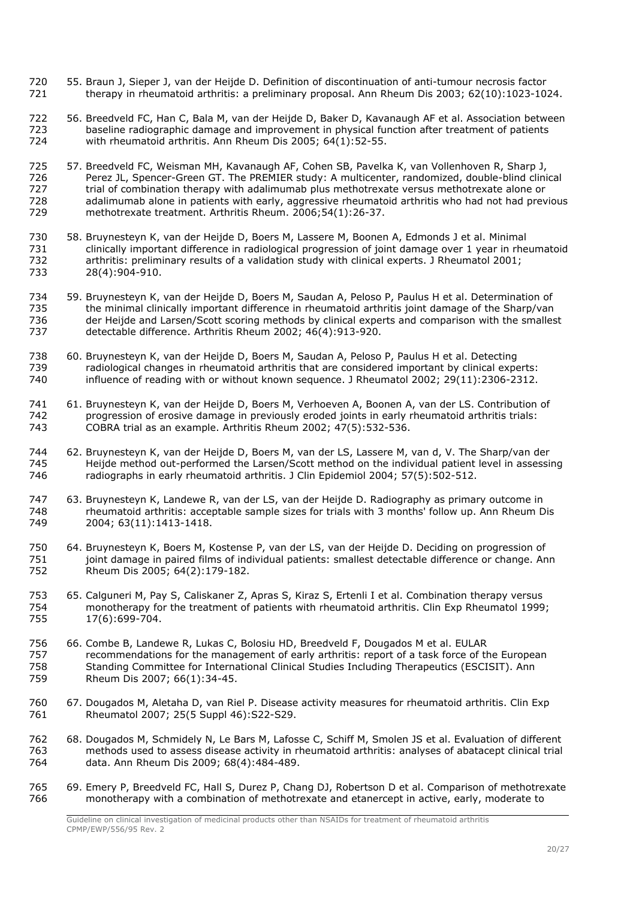- 55. Braun J, Sieper J, van der Heijde D. Definition of discontinuation of anti-tumour necrosis factor therapy in rheumatoid arthritis: a preliminary proposal. Ann Rheum Dis 2003; 62(10):1023-1024.
- 56. Breedveld FC, Han C, Bala M, van der Heijde D, Baker D, Kavanaugh AF et al. Association between baseline radiographic damage and improvement in physical function after treatment of patients with rheumatoid arthritis. Ann Rheum Dis 2005; 64(1):52-55.
- 725 57. Breedveld FC, Weisman MH, Kavanaugh AF, Cohen SB, Pavelka K, van Vollenhoven R, Sharp J, 726 [18] The PREMIFR study: A multicenter, randomized, double-blind clini Perez JL, Spencer-Green GT. [The PREMIER study: A multicenter, randomized, double-blind clinical](http://www.ncbi.nlm.nih.gov/pubmed/16385520?ordinalpos=6&itool=EntrezSystem2.PEntrez.Pubmed.Pubmed_ResultsPanel.Pubmed_DefaultReportPanel.Pubmed_RVDocSum)  [trial of combination therapy with adalimumab plus methotrexate versus methotrexate alone or](http://www.ncbi.nlm.nih.gov/pubmed/16385520?ordinalpos=6&itool=EntrezSystem2.PEntrez.Pubmed.Pubmed_ResultsPanel.Pubmed_DefaultReportPanel.Pubmed_RVDocSum)  [adalimumab alone in patients with early, aggressive rheumatoid arthritis who had not had previous](http://www.ncbi.nlm.nih.gov/pubmed/16385520?ordinalpos=6&itool=EntrezSystem2.PEntrez.Pubmed.Pubmed_ResultsPanel.Pubmed_DefaultReportPanel.Pubmed_RVDocSum)  [methotrexate treatment.](http://www.ncbi.nlm.nih.gov/pubmed/16385520?ordinalpos=6&itool=EntrezSystem2.PEntrez.Pubmed.Pubmed_ResultsPanel.Pubmed_DefaultReportPanel.Pubmed_RVDocSum) Arthritis Rheum. 2006;54(1):26-37.
- 58. Bruynesteyn K, van der Heijde D, Boers M, Lassere M, Boonen A, Edmonds J et al. Minimal clinically important difference in radiological progression of joint damage over 1 year in rheumatoid arthritis: preliminary results of a validation study with clinical experts. J Rheumatol 2001; 28(4):904-910.
- 59. Bruynesteyn K, van der Heijde D, Boers M, Saudan A, Peloso P, Paulus H et al. Determination of the minimal clinically important difference in rheumatoid arthritis joint damage of the Sharp/van der Heijde and Larsen/Scott scoring methods by clinical experts and comparison with the smallest detectable difference. Arthritis Rheum 2002; 46(4):913-920.
- 60. Bruynesteyn K, van der Heijde D, Boers M, Saudan A, Peloso P, Paulus H et al. Detecting 739 radiological changes in rheumatoid arthritis that are considered important by clinical experts:<br>740 influence of reading with or without known sequence. J Rheumatol 2002; 29(11):2306-2312. influence of reading with or without known sequence. J Rheumatol 2002; 29(11):2306-2312.
- 741 61. Bruynesteyn K, van der Heijde D, Boers M, Verhoeven A, Boonen A, van der LS. Contribution of 742 progression of erosive damage in previously eroded joints in early rheumatoid arthritis trials: 742 progression of erosive damage in previously eroded joints in early rheumatoid arthritis trials:<br>743 COBRA trial as an example. Arthritis Rheum 2002: 47(5):532-536. COBRA trial as an example. Arthritis Rheum 2002; 47(5):532-536.
- 62. Bruynesteyn K, van der Heijde D, Boers M, van der LS, Lassere M, van d, V. The Sharp/van der 745 Heijde method out-performed the Larsen/Scott method on the individual patient level in assessing<br>746 Tadiographs in early rheumatoid arthritis. 1 Clin Foidemiol 2004: 57(5):502-512. radiographs in early rheumatoid arthritis. J Clin Epidemiol 2004; 57(5):502-512.
- 63. Bruynesteyn K, Landewe R, van der LS, van der Heijde D. Radiography as primary outcome in rheumatoid arthritis: acceptable sample sizes for trials with 3 months' follow up. Ann Rheum Dis 2004; 63(11):1413-1418.
- 64. Bruynesteyn K, Boers M, Kostense P, van der LS, van der Heijde D. Deciding on progression of joint damage in paired films of individual patients: smallest detectable difference or change. Ann Rheum Dis 2005; 64(2):179-182.
- 65. Calguneri M, Pay S, Caliskaner Z, Apras S, Kiraz S, Ertenli I et al. Combination therapy versus monotherapy for the treatment of patients with rheumatoid arthritis. Clin Exp Rheumatol 1999; 17(6):699-704.
- 66. Combe B, Landewe R, Lukas C, Bolosiu HD, Breedveld F, Dougados M et al. EULAR recommendations for the management of early arthritis: report of a task force of the European Standing Committee for International Clinical Studies Including Therapeutics (ESCISIT). Ann Rheum Dis 2007; 66(1):34-45.
- 67. Dougados M, Aletaha D, van Riel P. Disease activity measures for rheumatoid arthritis. Clin Exp Rheumatol 2007; 25(5 Suppl 46):S22-S29.
- 68. Dougados M, Schmidely N, Le Bars M, Lafosse C, Schiff M, Smolen JS et al. Evaluation of different methods used to assess disease activity in rheumatoid arthritis: analyses of abatacept clinical trial data. Ann Rheum Dis 2009; 68(4):484-489.
- 69. Emery P, Breedveld FC, Hall S, Durez P, Chang DJ, Robertson D et al. Comparison of methotrexate monotherapy with a combination of methotrexate and etanercept in active, early, moderate to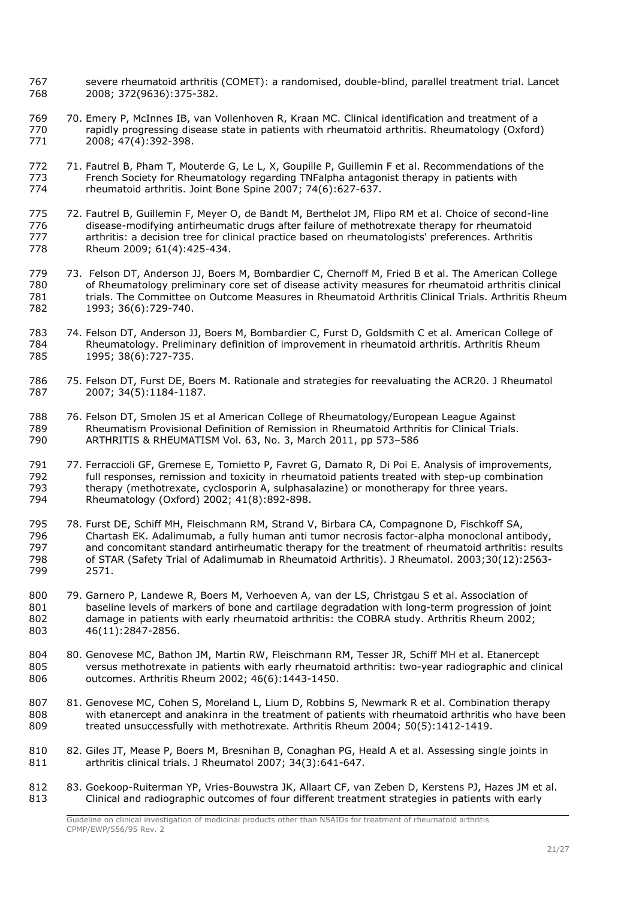- 767 severe rheumatoid arthritis (COMET): a randomised, double-blind, parallel treatment trial. Lancet<br>768 2008: 372(9636):375-382. 2008; 372(9636):375-382.
- 70. Emery P, McInnes IB, van Vollenhoven R, Kraan MC. Clinical identification and treatment of a rapidly progressing disease state in patients with rheumatoid arthritis. Rheumatology (Oxford) 2008; 47(4):392-398.
- 772 71. Fautrel B, Pham T, Mouterde G, Le L, X, Goupille P, Guillemin F et al. Recommendations of the 773 French Society for Rheumatology regarding TNFalpha antagonist therapy in patients with rheumatoid arthritis. Joint Bone Spine 2007; 74(6):627-637.
- 72. Fautrel B, Guillemin F, Meyer O, de Bandt M, Berthelot JM, Flipo RM et al. Choice of second-line disease-modifying antirheumatic drugs after failure of methotrexate therapy for rheumatoid arthritis: a decision tree for clinical practice based on rheumatologists' preferences. Arthritis Rheum 2009; 61(4):425-434.
- 73. Felson DT, Anderson JJ, Boers M, Bombardier C, Chernoff M, Fried B et al. The American College of Rheumatology preliminary core set of disease activity measures for rheumatoid arthritis clinical trials. The Committee on Outcome Measures in Rheumatoid Arthritis Clinical Trials. Arthritis Rheum 1993; 36(6):729-740.
- 74. Felson DT, Anderson JJ, Boers M, Bombardier C, Furst D, Goldsmith C et al. American College of Rheumatology. Preliminary definition of improvement in rheumatoid arthritis. Arthritis Rheum 1995; 38(6):727-735.
- 75. Felson DT, Furst DE, Boers M. Rationale and strategies for reevaluating the ACR20. J Rheumatol 2007; 34(5):1184-1187.
- 76. Felson DT, Smolen JS et al American College of Rheumatology/European League Against Rheumatism Provisional Definition of Remission in Rheumatoid Arthritis for Clinical Trials. ARTHRITIS & RHEUMATISM Vol. 63, No. 3, March 2011, pp 573-586
- 77. Ferraccioli GF, Gremese E, Tomietto P, Favret G, Damato R, Di Poi E. Analysis of improvements, full responses, remission and toxicity in rheumatoid patients treated with step-up combination therapy (methotrexate, cyclosporin A, sulphasalazine) or monotherapy for three years. Rheumatology (Oxford) 2002; 41(8):892-898.
- 78. Furst DE, Schiff MH, Fleischmann RM, Strand V, Birbara CA, Compagnone D, Fischkoff SA, Chartash EK. [Adalimumab, a fully human anti tumor necrosis factor-alpha monoclonal antibody,](http://www.ncbi.nlm.nih.gov/pubmed/14719195?ordinalpos=4&itool=EntrezSystem2.PEntrez.Pubmed.Pubmed_ResultsPanel.Pubmed_DefaultReportPanel.Pubmed_RVDocSum)  [and concomitant standard antirheumatic therapy for the treatment of rheumatoid arthritis: results](http://www.ncbi.nlm.nih.gov/pubmed/14719195?ordinalpos=4&itool=EntrezSystem2.PEntrez.Pubmed.Pubmed_ResultsPanel.Pubmed_DefaultReportPanel.Pubmed_RVDocSum)  [of STAR \(Safety Trial of Adalimumab in Rheumatoid Arthritis\).](http://www.ncbi.nlm.nih.gov/pubmed/14719195?ordinalpos=4&itool=EntrezSystem2.PEntrez.Pubmed.Pubmed_ResultsPanel.Pubmed_DefaultReportPanel.Pubmed_RVDocSum) J Rheumatol. 2003;30(12):2563- 2571.
- 79. Garnero P, Landewe R, Boers M, Verhoeven A, van der LS, Christgau S et al. Association of 801 baseline levels of markers of bone and cartilage degradation with long-term progression of joint 802 damage in patients with early rheumatoid arthritis: the COBRA study, Arthritis Rheum 2002: damage in patients with early rheumatoid arthritis: the COBRA study. Arthritis Rheum 2002; 46(11):2847-2856.
- 80. Genovese MC, Bathon JM, Martin RW, Fleischmann RM, Tesser JR, Schiff MH et al. Etanercept versus methotrexate in patients with early rheumatoid arthritis: two-year radiographic and clinical outcomes. Arthritis Rheum 2002; 46(6):1443-1450.
- 807 81. Genovese MC, Cohen S, Moreland L, Lium D, Robbins S, Newmark R et al. Combination therapy with etanercept and anakinra in the treatment of patients with rheumatoid arthritis who have been treated unsuccessfully with methotrexate. Arthritis Rheum 2004; 50(5):1412-1419.
- 82. Giles JT, Mease P, Boers M, Bresnihan B, Conaghan PG, Heald A et al. Assessing single joints in arthritis clinical trials. J Rheumatol 2007; 34(3):641-647.
- 812 83. Goekoop-Ruiterman YP, Vries-Bouwstra JK, Allaart CF, van Zeben D, Kerstens PJ, Hazes JM et al. Clinical and radiographic outcomes of four different treatment strategies in patients with early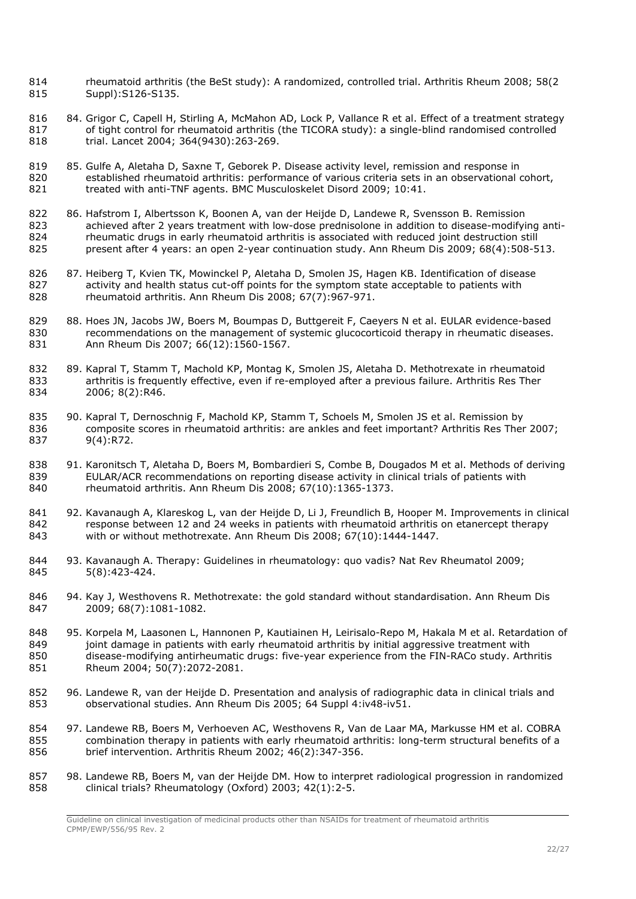- 814 rheumatoid arthritis (the BeSt study): A randomized, controlled trial. Arthritis Rheum 2008; 58(2<br>815 Suppl): S126-S135. Suppl):S126-S135.
- 816 84. Grigor C, Capell H, Stirling A, McMahon AD, Lock P, Vallance R et al. Effect of a treatment strategy of tight control for rheumatoid arthritis (the TICORA study): a single-blind randomised controlled trial. Lancet 2004; 364(9430):263-269.
- 819 85. Gulfe A, Aletaha D, Saxne T, Geborek P. Disease activity level, remission and response in 820 established rheumatoid arthritis: performance of various criteria sets in an observational cohort, treated with anti-TNF agents. BMC Musculoskelet Disord 2009; 10:41.
- 86. Hafstrom I, Albertsson K, Boonen A, van der Heijde D, Landewe R, Svensson B. Remission achieved after 2 years treatment with low-dose prednisolone in addition to disease-modifying anti- rheumatic drugs in early rheumatoid arthritis is associated with reduced joint destruction still present after 4 years: an open 2-year continuation study. Ann Rheum Dis 2009; 68(4):508-513.
- 87. Heiberg T, Kvien TK, Mowinckel P, Aletaha D, Smolen JS, Hagen KB. Identification of disease 827 activity and health status cut-off points for the symptom state acceptable to patients with rheumatoid arthritis. Ann Rheum Dis 2008; 67(7):967-971.
- 88. Hoes JN, Jacobs JW, Boers M, Boumpas D, Buttgereit F, Caeyers N et al. EULAR evidence-based recommendations on the management of systemic glucocorticoid therapy in rheumatic diseases. Ann Rheum Dis 2007; 66(12):1560-1567.
- 89. Kapral T, Stamm T, Machold KP, Montag K, Smolen JS, Aletaha D. Methotrexate in rheumatoid arthritis is frequently effective, even if re-employed after a previous failure. Arthritis Res Ther 2006; 8(2):R46.
- 90. Kapral T, Dernoschnig F, Machold KP, Stamm T, Schoels M, Smolen JS et al. Remission by 836 composite scores in rheumatoid arthritis: are ankles and feet important? Arthritis Res Ther 2007;<br>837 9(4):R72.  $9(4):R72.$
- 91. Karonitsch T, Aletaha D, Boers M, Bombardieri S, Combe B, Dougados M et al. Methods of deriving EULAR/ACR recommendations on reporting disease activity in clinical trials of patients with rheumatoid arthritis. Ann Rheum Dis 2008; 67(10):1365-1373.
- 841 92. Kavanaugh A, Klareskog L, van der Heijde D, Li J, Freundlich B, Hooper M. Improvements in clinical response between 12 and 24 weeks in patients with rheumatoid arthritis on etanercept therapy with or without methotrexate. Ann Rheum Dis 2008; 67(10):1444-1447.
- 93. Kavanaugh A. Therapy: Guidelines in rheumatology: quo vadis? Nat Rev Rheumatol 2009; 5(8):423-424.
- 846 94. Kay J, Westhovens R. Methotrexate: the gold standard without standardisation. Ann Rheum Dis 2009; 68(7):1081-1082.
- 95. Korpela M, Laasonen L, Hannonen P, Kautiainen H, Leirisalo-Repo M, Hakala M et al. Retardation of joint damage in patients with early rheumatoid arthritis by initial aggressive treatment with disease-modifying antirheumatic drugs: five-year experience from the FIN-RACo study. Arthritis Rheum 2004; 50(7):2072-2081.
- 96. Landewe R, van der Heijde D. Presentation and analysis of radiographic data in clinical trials and observational studies. Ann Rheum Dis 2005; 64 Suppl 4:iv48-iv51.
- 97. Landewe RB, Boers M, Verhoeven AC, Westhovens R, Van de Laar MA, Markusse HM et al. COBRA combination therapy in patients with early rheumatoid arthritis: long-term structural benefits of a brief intervention. Arthritis Rheum 2002; 46(2):347-356.
- 98. Landewe RB, Boers M, van der Heijde DM. How to interpret radiological progression in randomized clinical trials? Rheumatology (Oxford) 2003; 42(1):2-5.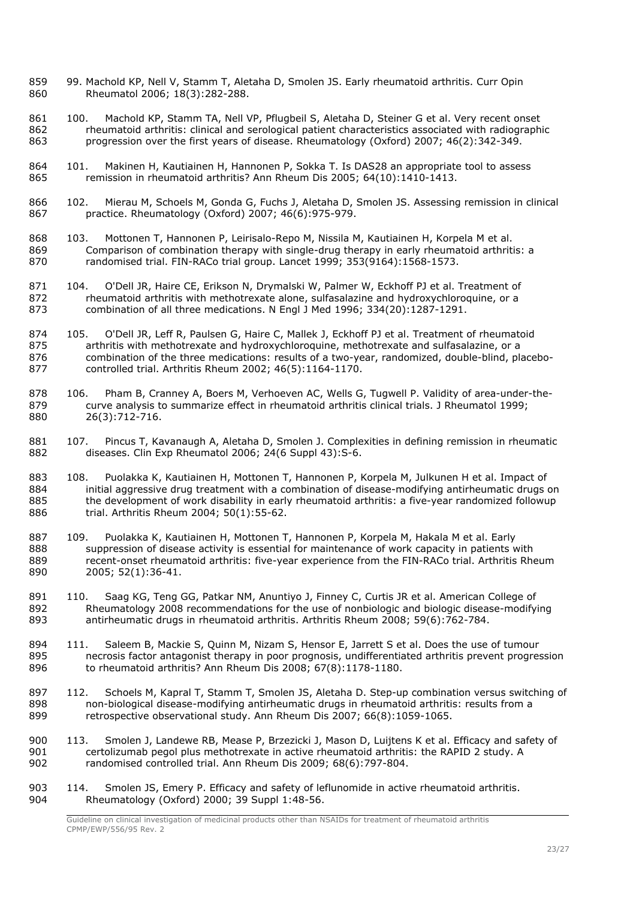- 859 99. Machold KP, Nell V, Stamm T, Aletaha D, Smolen JS. Early rheumatoid arthritis. Curr Opin 860 Rheumatol 2006; 18(3):282-288.
- 861 100. Machold KP, Stamm TA, Nell VP, Pflugbeil S, Aletaha D, Steiner G et al. Very recent onset rheumatoid arthritis: clinical and serological patient characteristics associated with radiographic progression over the first years of disease. Rheumatology (Oxford) 2007; 46(2):342-349.
- 864 101. Makinen H, Kautiainen H, Hannonen P, Sokka T. Is DAS28 an appropriate tool to assess 865 remission in rheumatoid arthritis? Ann Rheum Dis 2005: 64(10):1410-1413. remission in rheumatoid arthritis? Ann Rheum Dis 2005; 64(10):1410-1413.
- 102. Mierau M, Schoels M, Gonda G, Fuchs J, Aletaha D, Smolen JS. Assessing remission in clinical practice. Rheumatology (Oxford) 2007; 46(6):975-979.
- 103. Mottonen T, Hannonen P, Leirisalo-Repo M, Nissila M, Kautiainen H, Korpela M et al. Comparison of combination therapy with single-drug therapy in early rheumatoid arthritis: a randomised trial. FIN-RACo trial group. Lancet 1999; 353(9164):1568-1573.
- 871 104. O'Dell JR, Haire CE, Erikson N, Drymalski W, Palmer W, Eckhoff PJ et al. Treatment of 872 rheumatoid arthritis with methotrexate alone, sulfasalazine and hydroxychloroquine, or a rheumatoid arthritis with methotrexate alone, sulfasalazine and hydroxychloroquine, or a combination of all three medications. N Engl J Med 1996; 334(20):1287-1291.
- 105. O'Dell JR, Leff R, Paulsen G, Haire C, Mallek J, Eckhoff PJ et al. Treatment of rheumatoid arthritis with methotrexate and hydroxychloroquine, methotrexate and sulfasalazine, or a combination of the three medications: results of a two-year, randomized, double-blind, placebo-controlled trial. Arthritis Rheum 2002; 46(5):1164-1170.
- 878 106. Pham B, Cranney A, Boers M, Verhoeven AC, Wells G, Tugwell P. Validity of area-under-the-<br>879 curve analysis to summarize effect in rheumatoid arthritis clinical trials. I Rheumatol 1999: curve analysis to summarize effect in rheumatoid arthritis clinical trials. J Rheumatol 1999; 26(3):712-716.
- 881 107. Pincus T, Kavanaugh A, Aletaha D, Smolen J. Complexities in defining remission in rheumatic 882 diseases. Clin Exp Rheumatol 2006: 24(6 Supple 43): S-6. diseases. Clin Exp Rheumatol 2006; 24(6 Suppl 43): S-6.
- 108. Puolakka K, Kautiainen H, Mottonen T, Hannonen P, Korpela M, Julkunen H et al. Impact of initial aggressive drug treatment with a combination of disease-modifying antirheumatic drugs on the development of work disability in early rheumatoid arthritis: a five-year randomized followup trial. Arthritis Rheum 2004; 50(1):55-62.
- 109. Puolakka K, Kautiainen H, Mottonen T, Hannonen P, Korpela M, Hakala M et al. Early suppression of disease activity is essential for maintenance of work capacity in patients with recent-onset rheumatoid arthritis: five-year experience from the FIN-RACo trial. Arthritis Rheum 2005; 52(1):36-41.
- 891 110. Saag KG, Teng GG, Patkar NM, Anuntiyo J, Finney C, Curtis JR et al. American College of Rheumatology 2008 recommendations for the use of nonbiologic and biologic disease-modifying antirheumatic drugs in rheumatoid arthritis. Arthritis Rheum 2008; 59(6):762-784.
- 111. Saleem B, Mackie S, Quinn M, Nizam S, Hensor E, Jarrett S et al. Does the use of tumour necrosis factor antagonist therapy in poor prognosis, undifferentiated arthritis prevent progression to rheumatoid arthritis? Ann Rheum Dis 2008; 67(8):1178-1180.
- 112. Schoels M, Kapral T, Stamm T, Smolen JS, Aletaha D. Step-up combination versus switching of non-biological disease-modifying antirheumatic drugs in rheumatoid arthritis: results from a retrospective observational study. Ann Rheum Dis 2007; 66(8):1059-1065.
- 900 113. Smolen J, Landewe RB, Mease P, Brzezicki J, Mason D, Luijtens K et al. Efficacy and safety of certolizumab pegol plus methotrexate in active rheumatoid arthritis: the RAPID 2 study. A randomised controlled trial. Ann Rheum Dis 2009; 68(6):797-804.
- 903 114. Smolen JS, Emery P. Efficacy and safety of leflunomide in active rheumatoid arthritis. Rheumatology (Oxford) 2000; 39 Suppl 1:48-56.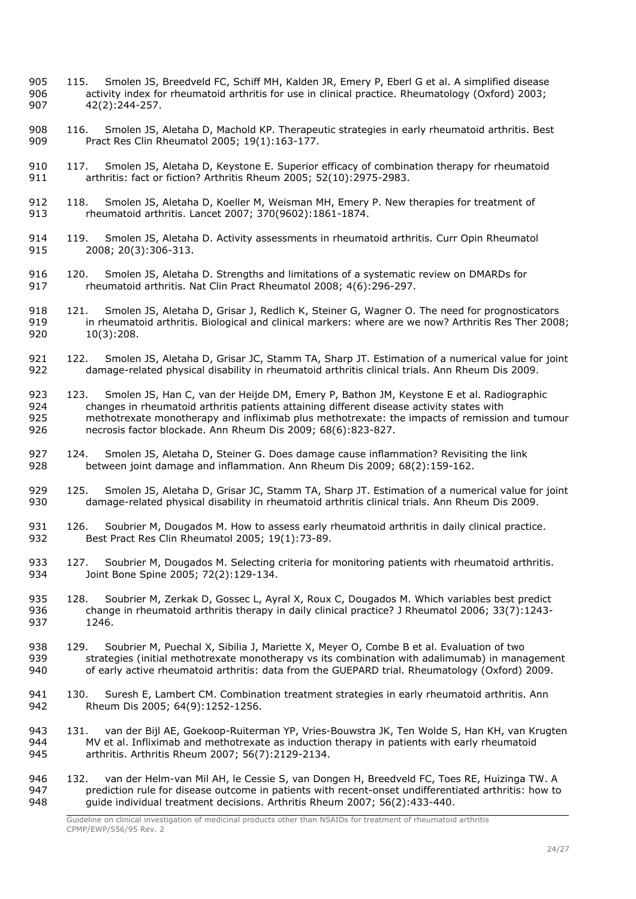- 905 115. Smolen JS, Breedveld FC, Schiff MH, Kalden JR, Emery P, Eberl G et al. A simplified disease<br>906 activity index for rheumatoid arthritis for use in clinical practice. Rheumatology (Oxford) 2003: activity index for rheumatoid arthritis for use in clinical practice. Rheumatology (Oxford) 2003; 907 42(2):244-257.
- 908 116. Smolen JS, Aletaha D, Machold KP. Therapeutic strategies in early rheumatoid arthritis. Best 909 Pract Res Clin Rheumatol 2005; 19(1):163-177.
- 910 117. Smolen JS, Aletaha D, Keystone E. Superior efficacy of combination therapy for rheumatoid 911 arthritis: fact or fiction? Arthritis Rheum 2005; 52(10):2975-2983.
- 912 118. Smolen JS, Aletaha D, Koeller M, Weisman MH, Emery P. New therapies for treatment of 913 rheumatoid arthritis. Lancet 2007; 370(9602):1861-1874.
- 914 119. Smolen JS, Aletaha D. Activity assessments in rheumatoid arthritis. Curr Opin Rheumatol 915 2008; 20(3):306-313.
- 916 120. Smolen JS, Aletaha D. Strengths and limitations of a systematic review on DMARDs for <br>917 heumatoid arthritis. Nat Clin Pract Rheumatol 2008: 4(6):296-297. 917 rheumatoid arthritis. Nat Clin Pract Rheumatol 2008; 4(6):296-297.
- 918 121. Smolen JS, Aletaha D, Grisar J, Redlich K, Steiner G, Wagner O. The need for prognosticators<br>919 **in rheumatoid arthritis. Biological and clinical markers: where are we now? Arthritis Res Ther 200**8 919 in rheumatoid arthritis. Biological and clinical markers: where are we now? Arthritis Res Ther 2008;<br>920 10(3):208.  $10(3)$ :208.
- 921 122. Smolen JS, Aletaha D, Grisar JC, Stamm TA, Sharp JT. Estimation of a numerical value for joint 922 damage-related physical disability in rheumatoid arthritis clinical trials. Ann Rheum Dis 2009. 922 damage-related physical disability in rheumatoid arthritis clinical trials. Ann Rheum Dis 2009.
- 923 123. Smolen JS, Han C, van der Heijde DM, Emery P, Bathon JM, Keystone E et al. Radiographic<br>924 changes in rheumatoid arthritis patients attaining different disease activity states with 924 changes in rheumatoid arthritis patients attaining different disease activity states with<br>925 methotrexate monotherapy and infliximab plus methotrexate: the impacts of remission methotrexate monotherapy and infliximab plus methotrexate: the impacts of remission and tumour 926 necrosis factor blockade. Ann Rheum Dis 2009; 68(6):823-827.
- 927 124. Smolen JS, Aletaha D, Steiner G. Does damage cause inflammation? Revisiting the link 928 between joint damage and inflammation. Ann Rheum Dis 2009: 68(2):159-162. between joint damage and inflammation. Ann Rheum Dis 2009; 68(2):159-162.
- 929 125. Smolen JS, Aletaha D, Grisar JC, Stamm TA, Sharp JT. Estimation of a numerical value for joint 930 damage-related physical disability in rheumatoid arthritis clinical trials. Ann Rheum Dis 2009.
- 931 126. Soubrier M, Dougados M. How to assess early rheumatoid arthritis in daily clinical practice. 932 Best Pract Res Clin Rheumatol 2005; 19(1):73-89.
- 933 127. Soubrier M, Dougados M. Selecting criteria for monitoring patients with rheumatoid arthritis. 934 Joint Bone Spine 2005; 72(2):129-134.
- 935 128. Soubrier M, Zerkak D, Gossec L, Ayral X, Roux C, Dougados M. Which variables best predict 936 change in rheumatoid arthritis therapy in daily clinical practice? J Rheumatol 2006; 33(7):1243-937 1246.
- 938 129. Soubrier M, Puechal X, Sibilia J, Mariette X, Meyer O, Combe B et al. Evaluation of two 939 strategies (initial methotrexate monotherapy vs its combination with adalimumab) in management 940 of early active rheumatoid arthritis: data from the GUEPARD trial. Rheumatology (Oxford) 2009.
- 941 130. Suresh E, Lambert CM. Combination treatment strategies in early rheumatoid arthritis. Ann 942 Rheum Dis 2005; 64(9):1252-1256.
- 943 131. van der Bijl AE, Goekoop-Ruiterman YP, Vries-Bouwstra JK, Ten Wolde S, Han KH, van Krugten<br>944 MV et al. Infliximab and methotrexate as induction therapy in patients with early rheumatoid 944 MV et al. Infliximab and methotrexate as induction therapy in patients with early rheumatoid 945 arthritis. Arthritis Rheum 2007; 56(7):2129-2134.
- 946 132. van der Helm-van Mil AH, le Cessie S, van Dongen H, Breedveld FC, Toes RE, Huizinga TW. A<br>947 orediction rule for disease outcome in patients with recent-onset undifferentiated arthritis: how to 947 prediction rule for disease outcome in patients with recent-onset undifferentiated arthritis: how to 948 and outcome in patients. Arthritis: how to 948 and the individual treatment decisions. Arthritis Rheum 2007: 56(2 948 guide individual treatment decisions. Arthritis Rheum 2007; 56(2):433-440.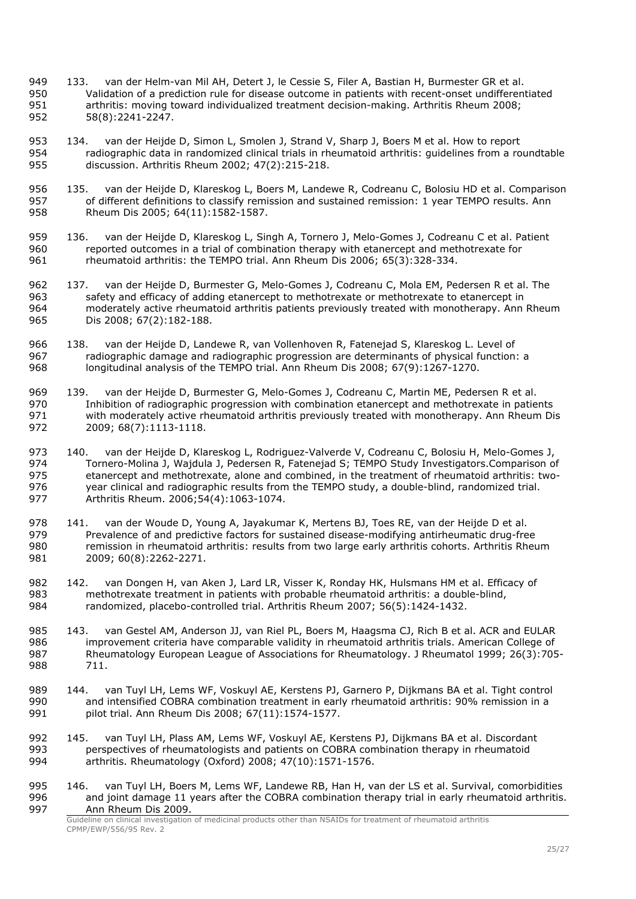- 949 133. van der Helm-van Mil AH, Detert J, le Cessie S, Filer A, Bastian H, Burmester GR et al.<br>950 Validation of a prediction rule for disease outcome in patients with recent-onset undifferent Validation of a prediction rule for disease outcome in patients with recent-onset undifferentiated arthritis: moving toward individualized treatment decision-making. Arthritis Rheum 2008; 58(8):2241-2247.
- 134. van der Heijde D, Simon L, Smolen J, Strand V, Sharp J, Boers M et al. How to report radiographic data in randomized clinical trials in rheumatoid arthritis: guidelines from a roundtable discussion. Arthritis Rheum 2002; 47(2):215-218.
- 135. van der Heijde D, Klareskog L, Boers M, Landewe R, Codreanu C, Bolosiu HD et al. Comparison of different definitions to classify remission and sustained remission: 1 year TEMPO results. Ann Rheum Dis 2005; 64(11):1582-1587.
- 136. van der Heijde D, Klareskog L, Singh A, Tornero J, Melo-Gomes J, Codreanu C et al. Patient reported outcomes in a trial of combination therapy with etanercept and methotrexate for rheumatoid arthritis: the TEMPO trial. Ann Rheum Dis 2006; 65(3):328-334.
- 137. van der Heijde D, Burmester G, Melo-Gomes J, Codreanu C, Mola EM, Pedersen R et al. The safety and efficacy of adding etanercept to methotrexate or methotrexate to etanercept in moderately active rheumatoid arthritis patients previously treated with monotherapy. Ann Rheum Dis 2008; 67(2):182-188.
- 138. van der Heijde D, Landewe R, van Vollenhoven R, Fatenejad S, Klareskog L. Level of radiographic damage and radiographic progression are determinants of physical function: a longitudinal analysis of the TEMPO trial. Ann Rheum Dis 2008; 67(9):1267-1270.
- 139. van der Heijde D, Burmester G, Melo-Gomes J, Codreanu C, Martin ME, Pedersen R et al. Inhibition of radiographic progression with combination etanercept and methotrexate in patients 971 with moderately active rheumatoid arthritis previously treated with monotherapy. Ann Rheum Dis<br>972 2009: 68(7):1113-1118. 2009; 68(7):1113-1118.
- 973 140. [van der Heijde D,](http://www.ncbi.nlm.nih.gov/sites/entrez?Db=pubmed&Cmd=Search&Term=%22van%20der%20Heijde%20D%22%5BAuthor%5D&itool=EntrezSystem2.PEntrez.Pubmed.Pubmed_ResultsPanel.Pubmed_RVCitation) [Klareskog L,](http://www.ncbi.nlm.nih.gov/sites/entrez?Db=pubmed&Cmd=Search&Term=%22Klareskog%20L%22%5BAuthor%5D&itool=EntrezSystem2.PEntrez.Pubmed.Pubmed_ResultsPanel.Pubmed_RVCitation) [Rodriguez-Valverde V,](http://www.ncbi.nlm.nih.gov/sites/entrez?Db=pubmed&Cmd=Search&Term=%22Rodriguez-Valverde%20V%22%5BAuthor%5D&itool=EntrezSystem2.PEntrez.Pubmed.Pubmed_ResultsPanel.Pubmed_RVCitation) [Codreanu C,](http://www.ncbi.nlm.nih.gov/sites/entrez?Db=pubmed&Cmd=Search&Term=%22Codreanu%20C%22%5BAuthor%5D&itool=EntrezSystem2.PEntrez.Pubmed.Pubmed_ResultsPanel.Pubmed_RVCitation) [Bolosiu H,](http://www.ncbi.nlm.nih.gov/sites/entrez?Db=pubmed&Cmd=Search&Term=%22Bolosiu%20H%22%5BAuthor%5D&itool=EntrezSystem2.PEntrez.Pubmed.Pubmed_ResultsPanel.Pubmed_RVCitation) [Melo-Gomes J,](http://www.ncbi.nlm.nih.gov/sites/entrez?Db=pubmed&Cmd=Search&Term=%22Melo-Gomes%20J%22%5BAuthor%5D&itool=EntrezSystem2.PEntrez.Pubmed.Pubmed_ResultsPanel.Pubmed_RVCitation) [Tornero-Molina J,](http://www.ncbi.nlm.nih.gov/sites/entrez?Db=pubmed&Cmd=Search&Term=%22Tornero-Molina%20J%22%5BAuthor%5D&itool=EntrezSystem2.PEntrez.Pubmed.Pubmed_ResultsPanel.Pubmed_RVCitation) [Wajdula J,](http://www.ncbi.nlm.nih.gov/sites/entrez?Db=pubmed&Cmd=Search&Term=%22Wajdula%20J%22%5BAuthor%5D&itool=EntrezSystem2.PEntrez.Pubmed.Pubmed_ResultsPanel.Pubmed_RVCitation) [Pedersen R,](http://www.ncbi.nlm.nih.gov/sites/entrez?Db=pubmed&Cmd=Search&Term=%22Pedersen%20R%22%5BAuthor%5D&itool=EntrezSystem2.PEntrez.Pubmed.Pubmed_ResultsPanel.Pubmed_RVCitation) [Fatenejad S;](http://www.ncbi.nlm.nih.gov/sites/entrez?Db=pubmed&Cmd=Search&Term=%22Fatenejad%20S%22%5BAuthor%5D&itool=EntrezSystem2.PEntrez.Pubmed.Pubmed_ResultsPanel.Pubmed_RVCitation) [TEMPO Study Investigators.](http://www.ncbi.nlm.nih.gov/sites/entrez?Db=pubmed&Cmd=Search&Term=%22TEMPO%20Study%20Investigators%22%5BCorporate%20Author%5D&itool=EntrezSystem2.PEntrez.Pubmed.Pubmed_ResultsPanel.Pubmed_RVCitation)Comparison of etanercept and methotrexate, alone and combined, in the treatment of rheumatoid arthritis: two-976 year clinical and radiographic results from the TEMPO study, a double-blind, randomized trial.<br>977 Arthritis Rheum. 2006:54(4):1063-1074. Arthritis Rheum. 2006;54(4):1063-1074.
- 978 141. van der Woude D, Young A, Jayakumar K, Mertens BJ, Toes RE, van der Heijde D et al.<br>979 Prevalence of and predictive factors for sustained disease-modifying antirheumatic drug-fre Prevalence of and predictive factors for sustained disease-modifying antirheumatic drug-free remission in rheumatoid arthritis: results from two large early arthritis cohorts. Arthritis Rheum 981 2009; 60(8):2262-2271.
- 982 142. van Dongen H, van Aken J, Lard LR, Visser K, Ronday HK, Hulsmans HM et al. Efficacy of methotrexate treatment in patients with probable rheumatoid arthritis: a double-blind, randomized, placebo-controlled trial. Arthritis Rheum 2007; 56(5):1424-1432.
- 143. van Gestel AM, Anderson JJ, van Riel PL, Boers M, Haagsma CJ, Rich B et al. ACR and EULAR improvement criteria have comparable validity in rheumatoid arthritis trials. American College of Rheumatology European League of Associations for Rheumatology. J Rheumatol 1999; 26(3):705- 711.
- 144. van Tuyl LH, Lems WF, Voskuyl AE, Kerstens PJ, Garnero P, Dijkmans BA et al. Tight control and intensified COBRA combination treatment in early rheumatoid arthritis: 90% remission in a pilot trial. Ann Rheum Dis 2008; 67(11):1574-1577.
- 145. van Tuyl LH, Plass AM, Lems WF, Voskuyl AE, Kerstens PJ, Dijkmans BA et al. Discordant perspectives of rheumatologists and patients on COBRA combination therapy in rheumatoid arthritis. Rheumatology (Oxford) 2008; 47(10):1571-1576.
- 995 146. van Tuyl LH, Boers M, Lems WF, Landewe RB, Han H, van der LS et al. Survival, comorbidities and joint damage 11 years after the COBRA combination therapy trial in early rheumatoid arthritis. Ann Rheum Dis 2009.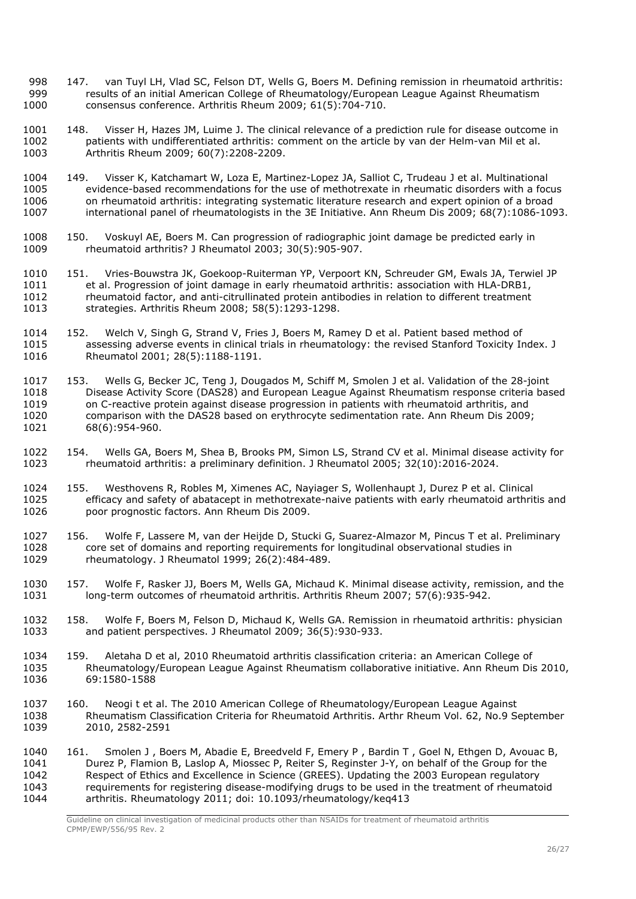- 998 147. van Tuyl LH, Vlad SC, Felson DT, Wells G, Boers M. Defining remission in rheumatoid arthritis:<br>999 results of an initial American College of Rheumatology/Furopean League Against Rheumatism results of an initial American College of Rheumatology/European League Against Rheumatism consensus conference. Arthritis Rheum 2009; 61(5):704-710.
- 148. Visser H, Hazes JM, Luime J. The clinical relevance of a prediction rule for disease outcome in patients with undifferentiated arthritis: comment on the article by van der Helm-van Mil et al. Arthritis Rheum 2009; 60(7):2208-2209.
- 149. Visser K, Katchamart W, Loza E, Martinez-Lopez JA, Salliot C, Trudeau J et al. Multinational evidence-based recommendations for the use of methotrexate in rheumatic disorders with a focus on rheumatoid arthritis: integrating systematic literature research and expert opinion of a broad international panel of rheumatologists in the 3E Initiative. Ann Rheum Dis 2009; 68(7):1086-1093.
- 150. Voskuyl AE, Boers M. Can progression of radiographic joint damage be predicted early in rheumatoid arthritis? J Rheumatol 2003; 30(5):905-907.
- 151. Vries-Bouwstra JK, Goekoop-Ruiterman YP, Verpoort KN, Schreuder GM, Ewals JA, Terwiel JP et al. Progression of joint damage in early rheumatoid arthritis: association with HLA-DRB1, rheumatoid factor, and anti-citrullinated protein antibodies in relation to different treatment strategies. Arthritis Rheum 2008; 58(5):1293-1298.
- 152. Welch V, Singh G, Strand V, Fries J, Boers M, Ramey D et al. Patient based method of assessing adverse events in clinical trials in rheumatology: the revised Stanford Toxicity Index. J Rheumatol 2001; 28(5):1188-1191.
- 153. Wells G, Becker JC, Teng J, Dougados M, Schiff M, Smolen J et al. Validation of the 28-joint Disease Activity Score (DAS28) and European League Against Rheumatism response criteria based on C-reactive protein against disease progression in patients with rheumatoid arthritis, and 1020 comparison with the DAS28 based on erythrocyte sedimentation rate. Ann Rheum Dis 2009;<br>1021 68(6):954-960.  $68(6)$ :954-960.
- 154. Wells GA, Boers M, Shea B, Brooks PM, Simon LS, Strand CV et al. Minimal disease activity for rheumatoid arthritis: a preliminary definition. J Rheumatol 2005; 32(10):2016-2024.
- 155. Westhovens R, Robles M, Ximenes AC, Nayiager S, Wollenhaupt J, Durez P et al. Clinical 1025 efficacy and safety of abatacept in methotrexate-naive patients with early rheumatoid arthritis and<br>1026 opor prognostic factors. Ann Rheum Dis 2009. poor prognostic factors. Ann Rheum Dis 2009.
- 156. Wolfe F, Lassere M, van der Heijde D, Stucki G, Suarez-Almazor M, Pincus T et al. Preliminary core set of domains and reporting requirements for longitudinal observational studies in rheumatology. J Rheumatol 1999; 26(2):484-489.
- 157. Wolfe F, Rasker JJ, Boers M, Wells GA, Michaud K. Minimal disease activity, remission, and the long-term outcomes of rheumatoid arthritis. Arthritis Rheum 2007; 57(6):935-942.
- 158. Wolfe F, Boers M, Felson D, Michaud K, Wells GA. Remission in rheumatoid arthritis: physician and patient perspectives. J Rheumatol 2009; 36(5):930-933.
- 159. Aletaha D et al, 2010 Rheumatoid arthritis classification criteria: an American College of Rheumatology/European League Against Rheumatism collaborative initiative. Ann Rheum Dis 2010, 69:1580-1588
- 160. Neogi t et al. The 2010 American College of Rheumatology/European League Against Rheumatism Classification Criteria for Rheumatoid Arthritis. Arthr Rheum Vol. 62, No.9 September 2010, 2582-2591
- 161. Smolen J , Boers M, Abadie E, Breedveld F, Emery P , Bardin T , Goel N, Ethgen D, Avouac B, Durez P, Flamion B, Laslop A, Miossec P, Reiter S, Reginster J-Y, on behalf of the Group for the Respect of Ethics and Excellence in Science (GREES). Updating the 2003 European regulatory requirements for registering disease-modifying drugs to be used in the treatment of rheumatoid arthritis. Rheumatology 2011; doi: 10.1093/rheumatology/keq413